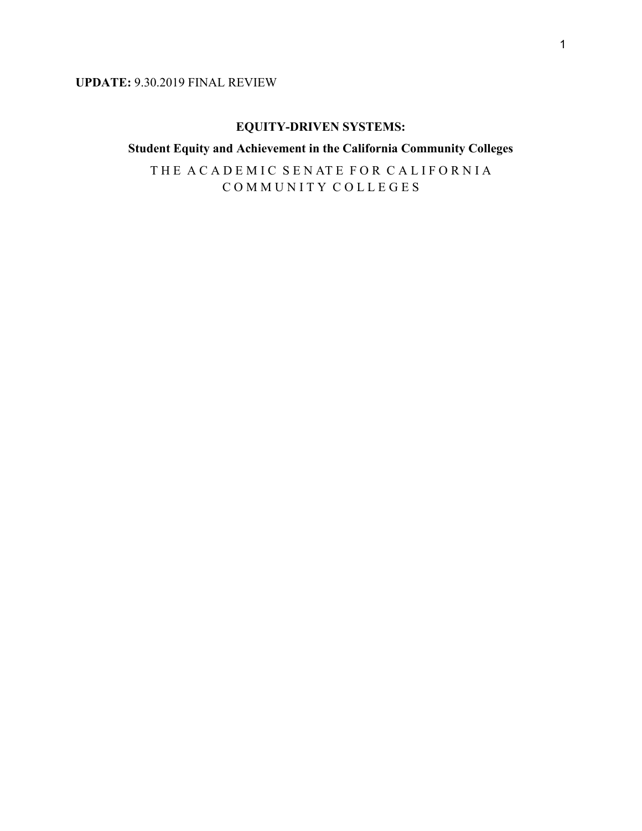### **UPDATE:** 9.30.2019 FINAL REVIEW

#### **EQUITY-DRIVEN SYSTEMS:**

## **Student Equity and Achievement in the California Community Colleges**

THE ACADEMIC SENATE FOR CALIFORNIA C O M M U N I T Y C O L L E G E S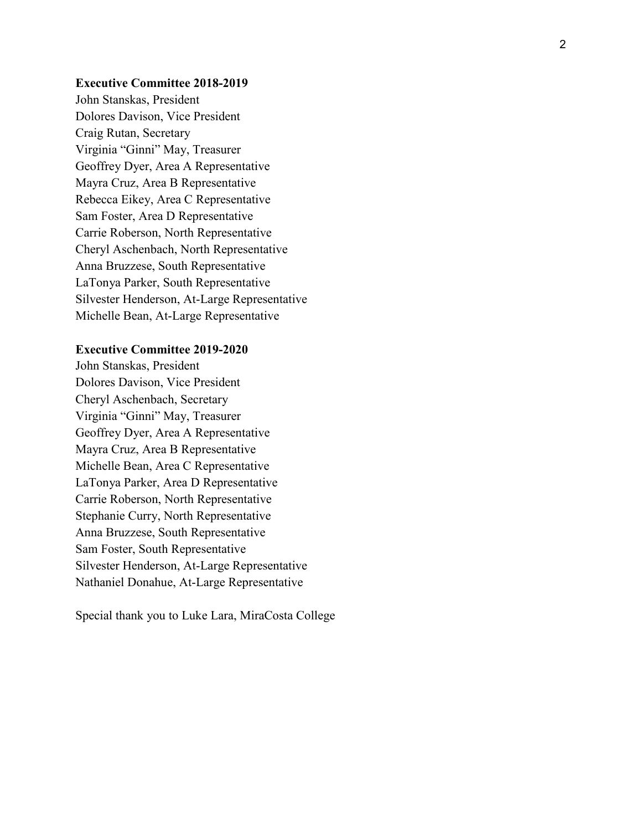#### **Executive Committee 2018 -2019**

John Stanskas, President Dolores Davison, Vice President Craig Rutan, Secretary Virginia "Ginni" May, Treasurer Geoffrey Dyer, Area A Representative Mayra Cruz, Area B Representative Rebecca Eikey, Area C Representative Sam Foster, Area D Representative Carrie Roberson, North Representative Cheryl Aschenbach, North Representative Anna Bruzzese, South Representative LaTonya Parker, South Representative Silvester Henderson, At -Large Representative Michelle Bean, At -Large Representative

#### **Executive Committee 2019 -2020**

John Stanskas, President Dolores Davison, Vice President Cheryl Aschenbach, Secretary Virginia "Ginni" May, Treasurer Geoffrey Dyer, Area A Representative Mayra Cruz, Area B Representative Michelle Bean, Area C Representative LaTonya Parker, Area D Representative Carrie Roberson, North Representative Stephanie Curry, North Representative Anna Bruzzese, South Representative Sam Foster, South Representative Silvester Henderson, At -Large Representative Nathaniel Donahue, At -Large Representative

Special thank you to Luke Lara, MiraCosta College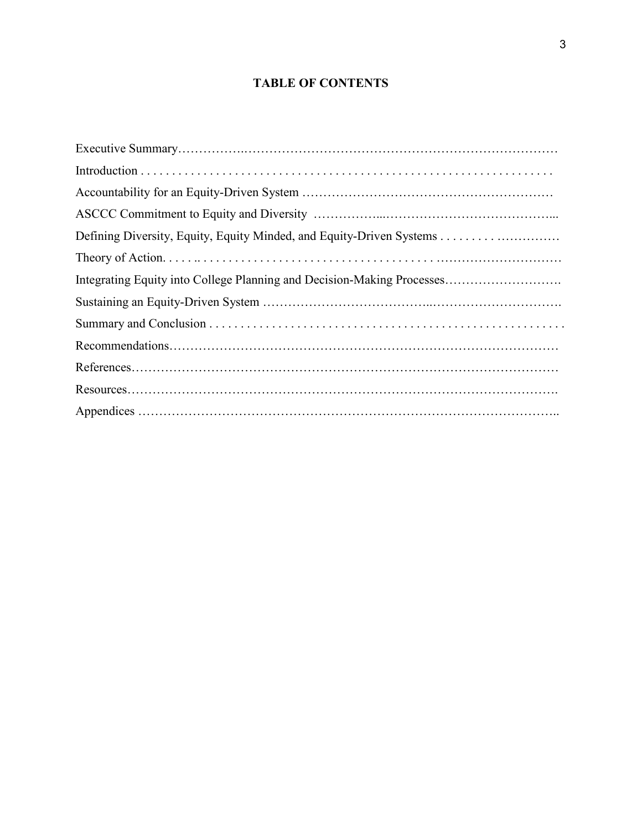# **TABLE OF CONTENTS**

| Integrating Equity into College Planning and Decision-Making Processes |
|------------------------------------------------------------------------|
|                                                                        |
|                                                                        |
|                                                                        |
|                                                                        |
|                                                                        |
|                                                                        |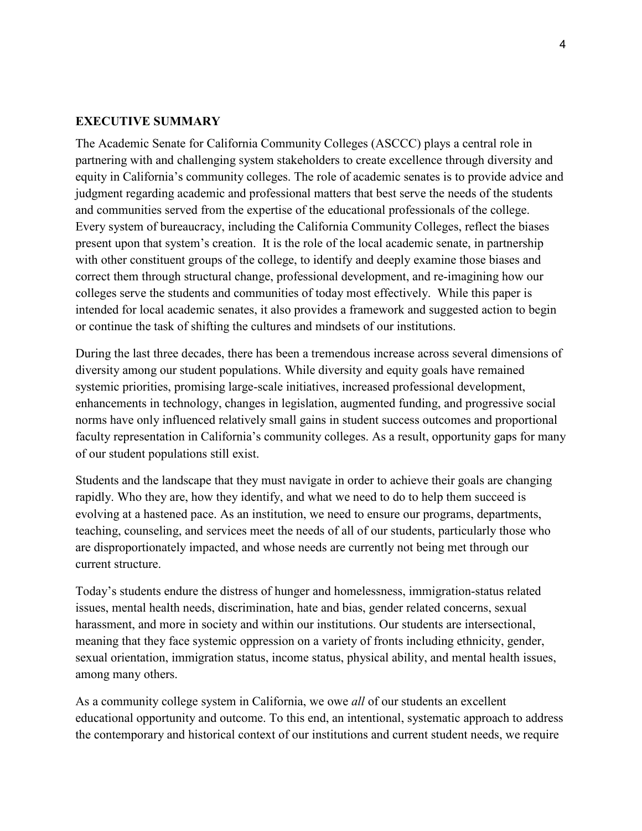#### **EXECUTIVE SUMMARY**

The Academic Senate for California Community Colleges (ASCCC) plays a central role in partnering with and challenging system stakeholders to create excellence through diversity and equity in California's community colleges. The role of academic senates is to provide advice and judgment regarding academic and professional matters that best serve the needs of the students and communities served from the expertise of the educational professionals of the college. Every system of bureaucracy, including the California Community Colleges, reflect the biases present upon that system's creation. It is the role of the local academic senate, in partnership with other constituent groups of the college, to identify and deeply examine those biases and correct them through structural change, professional development, and re-imagining how our colleges serve the students and communities of today most effectively. While this paper is intended for local academic senates, it also provides a framework and suggested action to begin or continue the task of shifting the cultures and mindsets of our institutions.

During the last three decades, there has been a tremendous increase across several dimensions of diversity among our student populations. While diversity and equity goals have remained systemic priorities, promising large-scale initiatives, increased professional development, enhancements in technology, changes in legislation, augmented funding, and progressive social norms have only influenced relatively small gains in student success outcomes and proportional faculty representation in California's community colleges. As a result, opportunity gaps for many of our student populations still exist.

Students and the landscape that they must navigate in order to achieve their goals are changing rapidly. Who they are, how they identify, and what we need to do to help them succeed is evolving at a hastened pace. As an institution, we need to ensure our programs, departments, teaching, counseling, and services meet the needs of all of our students, particularly those who are disproportionately impacted, and whose needs are currently not being met through our current structure.

Today's students endure the distress of hunger and homelessness, immigration-status related issues, mental health needs, discrimination, hate and bias, gender related concerns, sexual harassment, and more in society and within our institutions. Our students are intersectional, meaning that they face systemic oppression on a variety of fronts including ethnicity, gender, sexual orientation, immigration status, income status, physical ability, and mental health issues, among many others.

As a community college system in California, we owe *all* of our students an excellent educational opportunity and outcome. To this end, an intentional, systematic approach to address the contemporary and historical context of our institutions and current student needs, we require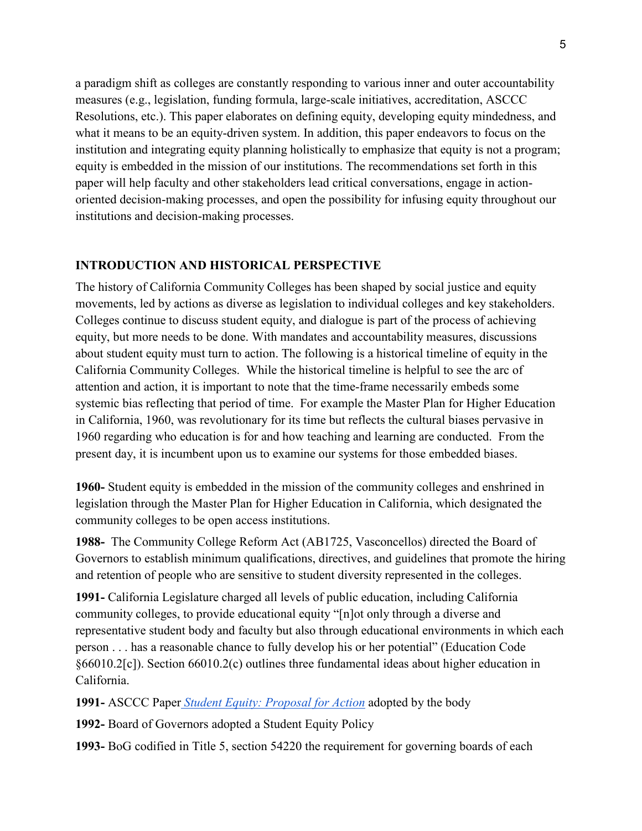a paradigm shift as colleges are constantly responding to various inner and outer accountability measures (e.g., legislation, funding formula, large-scale initiatives, accreditation, ASCCC Resolutions, etc.). This paper elaborates on defining equity, developing equity mindedness, and what it means to be an equity-driven system. In addition, this paper endeavors to focus on the institution and integrating equity planning holistically to emphasize that equity is not a program; equity is embedded in the mission of our institutions. The recommendations set forth in this paper will help faculty and other stakeholders lead critical conversations, engage in actionoriented decision-making processes, and open the possibility for infusing equity throughout our institutions and decision-making processes.

#### **INTRODUCTION AND HISTORICAL PERSPECTIVE**

The history of California Community Colleges has been shaped by social justice and equity movements, led by actions as diverse as legislation to individual colleges and key stakeholders. Colleges continue to discuss student equity, and dialogue is part of the process of achieving equity, but more needs to be done. With mandates and accountability measures, discussions about student equity must turn to action. The following is a historical timeline of equity in the California Community Colleges. While the historical timeline is helpful to see the arc of attention and action, it is important to note that the time-frame necessarily embeds some systemic bias reflecting that period of time. For example the Master Plan for Higher Education in California, 1960, was revolutionary for its time but reflects the cultural biases pervasive in 1960 regarding who education is for and how teaching and learning are conducted. From the present day, it is incumbent upon us to examine our systems for those embedded biases.

**1960-** Student equity is embedded in the mission of the community colleges and enshrined in legislation through the Master Plan for Higher Education in California, which designated the community colleges to be open access institutions.

**1988-** The Community College Reform Act (AB1725, Vasconcellos) directed the Board of Governors to establish minimum qualifications, directives, and guidelines that promote the hiring and retention of people who are sensitive to student diversity represented in the colleges.

**1991-** California Legislature charged all levels of public education, including California community colleges, to provide educational equity "[n]ot only through a diverse and representative student body and faculty but also through educational environments in which each person . . . has a reasonable chance to fully develop his or her potential" (Education Code §66010.2[c]). Section 66010.2(c) outlines three fundamental ideas about higher education in California.

**1991-** ASCCC Paper *[Student Equity: Proposal for Action](https://www.asccc.org/papers/student-equity-proposal-action)* adopted by the body

**1992-** Board of Governors adopted a Student Equity Policy

**1993-** BoG codified in Title 5, section 54220 the requirement for governing boards of each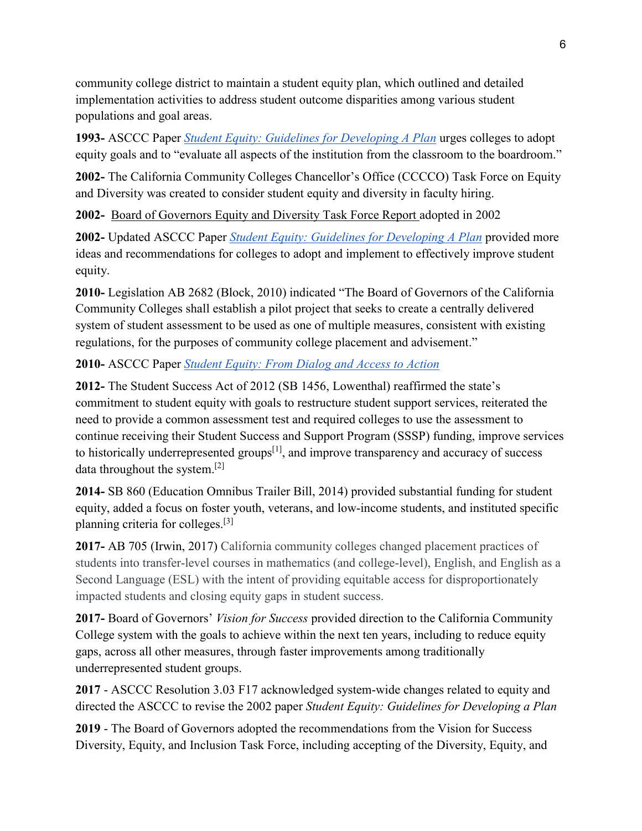community college district to maintain a student equity plan, which outlined and detailed implementation activities to address student outcome disparities among various student populations and goal areas.

**1993-** ASCCC Paper *[Student Equity: Guidelines for Developing A Plan](https://www.asccc.org/papers/student-equity-guidelines-developing-plan)* urges colleges to adopt equity goals and to "evaluate all aspects of the institution from the classroom to the boardroom."

**2002-** The California Community Colleges Chancellor's Office (CCCCO) Task Force on Equity and Diversity was created to consider student equity and diversity in faculty hiring.

**2002-** [Board of Governors Equity and Diversity Task Force Report](http://extranet.cccco.edu/Portals/1/Legal/EEO/equity_tf-recommendations.pdf) [a](http://extranet.cccco.edu/Portals/1/Legal/EEO/equity_tf-recommendations.pdf)dopted in 2002

**2002-** Updated ASCCC Paper *[Student Equity: Guidelines for Developing A Plan](https://www.asccc.org/papers/student-equity-guidelines-developing-plan-0)* provided more ideas and recommendations for colleges to adopt and implement to effectively improve student equity.

**2010-** Legislation AB 2682 (Block, 2010) indicated "The Board of Governors of the California Community Colleges shall establish a pilot project that seeks to create a centrally delivered system of student assessment to be used as one of multiple measures, consistent with existing regulations, for the purposes of community college placement and advisement."

## **2010-** ASCCC Paper *[Student Equity: From Dialog and Access to Action](https://www.asccc.org/papers/student-equity-dialog-and-access-action)*

**2012-** The Student Success Act of 2012 (SB 1456, Lowenthal) reaffirmed the state's commitment to student equity with goals to restructure student support services, reiterated the need to provide a common assessment test and required colleges to use the assessment to continue receiving their Student Success and Support Program (SSSP) funding, improve services to historically underrepresented groups<sup>[1]</sup>, and improve transparency and accuracy of success data throughout the system.[2]

**2014-** SB 860 (Education Omnibus Trailer Bill, 2014) provided substantial funding for student equity, added a focus on foster youth, veterans, and low-income students, and instituted specific planning criteria for colleges.[3]

**2017-** AB 705 (Irwin, 2017) California community colleges changed placement practices of students into transfer-level courses in mathematics (and college-level), English, and English as a Second Language (ESL) with the intent of providing equitable access for disproportionately impacted students and closing equity gaps in student success.

**2017-** Board of Governors' *Vision for Success* provided direction to the California Community College system with the goals to achieve within the next ten years, including to reduce equity gaps, across all other measures, through faster improvements among traditionally underrepresented student groups.

**2017** - ASCCC Resolution 3.03 F17 acknowledged system-wide changes related to equity and directed the ASCCC to revise the 2002 paper *Student Equity: Guidelines for Developing a Plan*

**2019** - The Board of Governors adopted the recommendations from the Vision for Success Diversity, Equity, and Inclusion Task Force, including accepting of the Diversity, Equity, and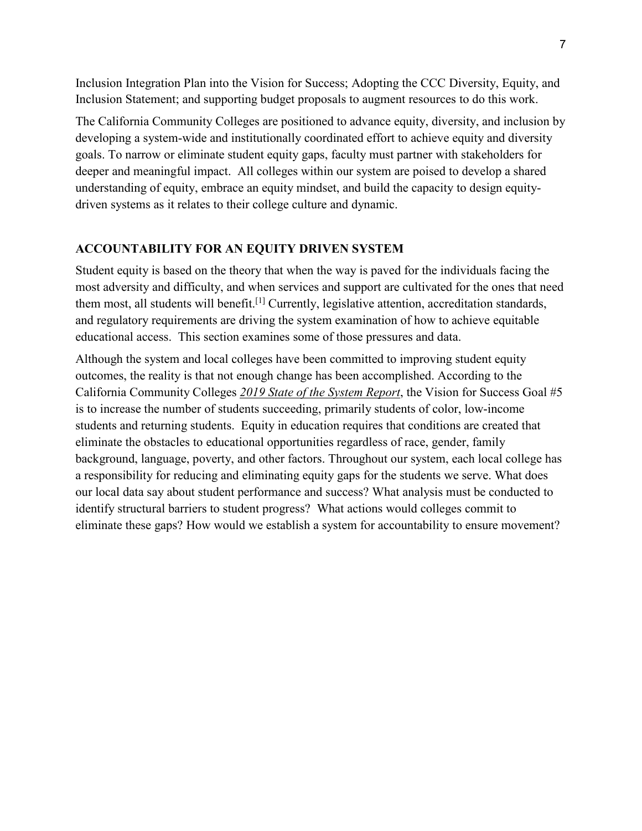Inclusion Integration Plan into the Vision for Success; Adopting the CCC Diversity, Equity, and Inclusion Statement; and supporting budget proposals to augment resources to do this work.

The California Community Colleges are positioned to advance equity, diversity, and inclusion by developing a system-wide and institutionally coordinated effort to achieve equity and diversity goals. To narrow or eliminate student equity gaps, faculty must partner with stakeholders for deeper and meaningful impact. All colleges within our system are poised to develop a shared understanding of equity, embrace an equity mindset, and build the capacity to design equitydriven systems as it relates to their college culture and dynamic.

#### **ACCOUNTABILITY FOR AN EQUITY DRIVEN SYSTEM**

Student equity is based on the theory that when the way is paved for the individuals facing the most adversity and difficulty, and when services and support are cultivated for the ones that need them most, all students will benefit.[1] Currently, legislative attention, accreditation standards, and regulatory requirements are driving the system examination of how to achieve equitable educational access. This section examines some of those pressures and data.

Although the system and local colleges have been committed to improving student equity outcomes, the reality is that not enough change has been accomplished. According to the California Community Colleges *[2019 State of the System Report](https://www.cccco.edu/-/media/CCCCO-Website/About-Us/Reports/Files/2019-sos-final-web.ashx?la=en&hash=154BCA70664246A7FBD7C76DEDEF768E2309A1DE)*, the Vision for Success Goal #5 is to increase the number of students succeeding, primarily students of color, low-income students and returning students. Equity in education requires that conditions are created that eliminate the obstacles to educational opportunities regardless of race, gender, family background, language, poverty, and other factors. Throughout our system, each local college has a responsibility for reducing and eliminating equity gaps for the students we serve. What does our local data say about student performance and success? What analysis must be conducted to identify structural barriers to student progress? What actions would colleges commit to eliminate these gaps? How would we establish a system for accountability to ensure movement?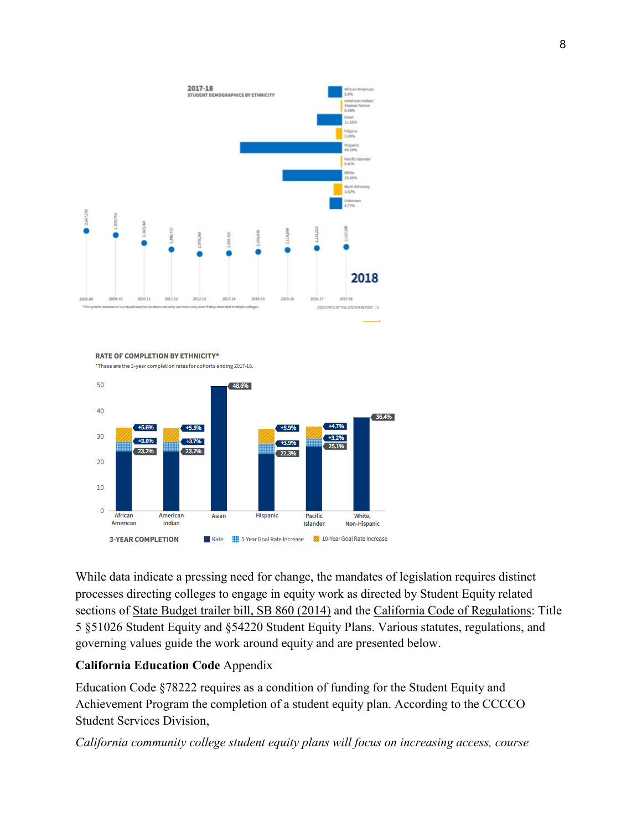

**RATE OF COMPLETION BY ETHNICITY\*** 

\*These are the 3-year completion rates for cohorts ending 2017-18.



While data indicate a pressing need for change, the mandates of legislation requires distinct processes directing colleges to engage in equity work as directed by Student Equity related sections of [State Budget trailer bill, SB 860 \(2014\)](http://extranet.cccco.edu/Portals/1/SSSP/StudentEquity/Student%20Equity%20provisions%20in%20SB%20860%20Budget%20bill.pdf) and the [California Code of Regulations:](http://www.calregs.com/linkedslice/default.asp?SP=CCR-1000&Action=Welcome) Title 5 §51026 Student Equity and §54220 Student Equity Plans. Various statutes, regulations, and governing values guide the work around equity and are presented below.

#### **California Education Code** Appendix

Education Code §78222 requires as a condition of funding for the Student Equity and Achievement Program the completion of a student equity plan. According to the CCCCO Student Services Division,

*California community college student equity plans will focus on increasing access, course*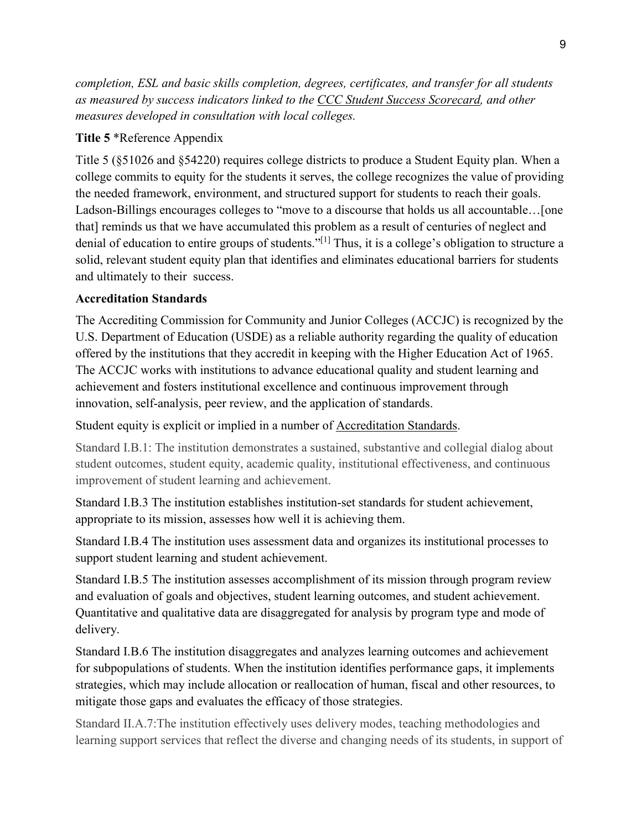*completion, ESL and basic skills completion, degrees, certificates, and transfer for all students as measured by success indicators linked to th[e](http://scorecard.cccco.edu/scorecard.aspx) [CCC Student Success Scorecard,](http://scorecard.cccco.edu/scorecard.aspx) and other measures developed in consultation with local colleges.*

#### **Title 5** \*Reference Appendix

Title 5 (§51026 and §54220) requires college districts to produce a Student Equity plan. When a college commits to equity for the students it serves, the college recognizes the value of providing the needed framework, environment, and structured support for students to reach their goals. Ladson-Billings encourages colleges to "move to a discourse that holds us all accountable…[one that] reminds us that we have accumulated this problem as a result of centuries of neglect and denial of education to entire groups of students."[1] Thus, it is a college's obligation to structure a solid, relevant student equity plan that identifies and eliminates educational barriers for students and ultimately to their success.

#### **Accreditation Standards**

The Accrediting Commission for Community and Junior Colleges (ACCJC) is recognized by the U.S. Department of Education (USDE) as a reliable authority regarding the quality of education offered by the institutions that they accredit in keeping with the Higher Education Act of 1965. The ACCJC works with institutions to advance educational quality and student learning and achievement and fosters institutional excellence and continuous improvement through innovation, self-analysis, peer review, and the application of standards.

Student equity is explicit or implied in a number of [Accreditation Standards.](https://accjc.org/wp-content/uploads/Guide-to-Institutional-Self-Evaluation-Improvement-and-Peer-Review.pdf)

Standard I.B.1: The institution demonstrates a sustained, substantive and collegial dialog about student outcomes, student equity, academic quality, institutional effectiveness, and continuous improvement of student learning and achievement.

Standard I.B.3 The institution establishes institution-set standards for student achievement, appropriate to its mission, assesses how well it is achieving them.

Standard I.B.4 The institution uses assessment data and organizes its institutional processes to support student learning and student achievement.

Standard I.B.5 The institution assesses accomplishment of its mission through program review and evaluation of goals and objectives, student learning outcomes, and student achievement. Quantitative and qualitative data are disaggregated for analysis by program type and mode of delivery.

Standard I.B.6 The institution disaggregates and analyzes learning outcomes and achievement for subpopulations of students. When the institution identifies performance gaps, it implements strategies, which may include allocation or reallocation of human, fiscal and other resources, to mitigate those gaps and evaluates the efficacy of those strategies.

Standard II.A.7:The institution effectively uses delivery modes, teaching methodologies and learning support services that reflect the diverse and changing needs of its students, in support of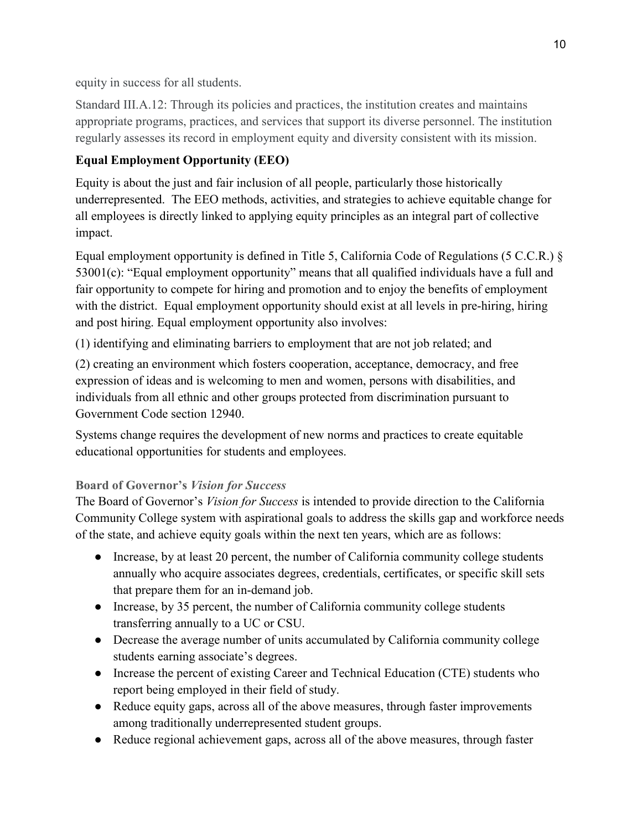equity in success for all students.

Standard III.A.12: Through its policies and practices, the institution creates and maintains appropriate programs, practices, and services that support its diverse personnel. The institution regularly assesses its record in employment equity and diversity consistent with its mission.

# **Equal Employment Opportunity (EEO)**

Equity is about the just and fair inclusion of all people, particularly those historically underrepresented. The EEO methods, activities, and strategies to achieve equitable change for all employees is directly linked to applying equity principles as an integral part of collective impact.

Equal employment opportunity is defined in Title 5, California Code of Regulations (5 C.C.R.) § 53001(c): "Equal employment opportunity" means that all qualified individuals have a full and fair opportunity to compete for hiring and promotion and to enjoy the benefits of employment with the district. Equal employment opportunity should exist at all levels in pre-hiring, hiring and post hiring. Equal employment opportunity also involves:

(1) identifying and eliminating barriers to employment that are not job related; and

(2) creating an environment which fosters cooperation, acceptance, democracy, and free expression of ideas and is welcoming to men and women, persons with disabilities, and individuals from all ethnic and other groups protected from discrimination pursuant to Government Code section 12940.

Systems change requires the development of new norms and practices to create equitable educational opportunities for students and employees.

# **Board of Governor's** *Vision for Success*

The Board of Governor's *Vision for Success* is intended to provide direction to the California Community College system with aspirational goals to address the skills gap and workforce needs of the state, and achieve equity goals within the next ten years, which are as follows:

- Increase, by at least 20 percent, the number of California community college students annually who acquire associates degrees, credentials, certificates, or specific skill sets that prepare them for an in-demand job.
- Increase, by 35 percent, the number of California community college students transferring annually to a UC or CSU.
- Decrease the average number of units accumulated by California community college students earning associate's degrees.
- Increase the percent of existing Career and Technical Education (CTE) students who report being employed in their field of study.
- Reduce equity gaps, across all of the above measures, through faster improvements among traditionally underrepresented student groups.
- Reduce regional achievement gaps, across all of the above measures, through faster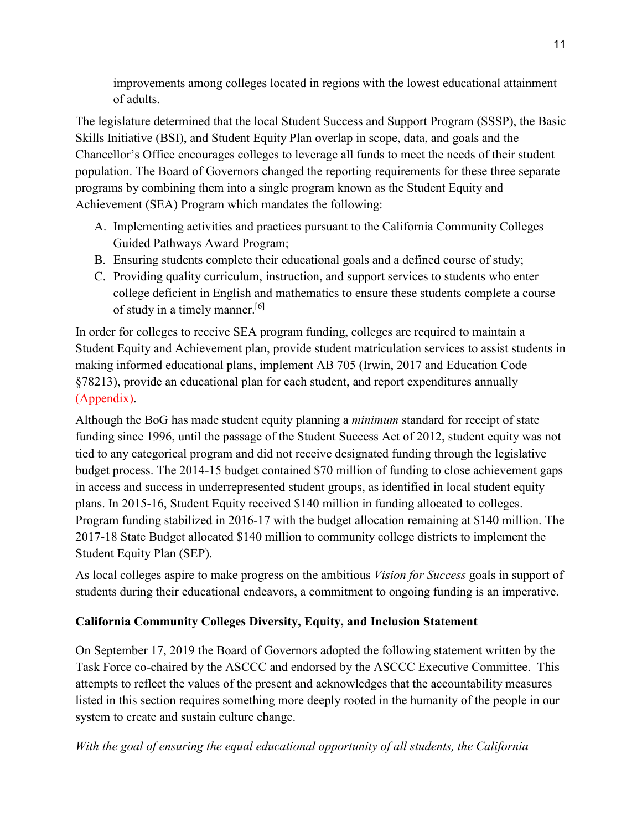improvements among colleges located in regions with the lowest educational attainment of adults.

The legislature determined that the local Student Success and Support Program (SSSP), the Basic Skills Initiative (BSI), and Student Equity Plan overlap in scope, data, and goals and the Chancellor's Office encourages colleges to leverage all funds to meet the needs of their student population. The Board of Governors changed the reporting requirements for these three separate programs by combining them into a single program known as the Student Equity and Achievement (SEA) Program which mandates the following:

- A. Implementing activities and practices pursuant to the California Community Colleges Guided Pathways Award Program;
- B. Ensuring students complete their educational goals and a defined course of study;
- C. Providing quality curriculum, instruction, and support services to students who enter college deficient in English and mathematics to ensure these students complete a course of study in a timely manner.[6]

In order for colleges to receive SEA program funding, colleges are required to maintain a Student Equity and Achievement plan, provide student matriculation services to assist students in making informed educational plans, implement AB 705 (Irwin, 2017 and Education Code §78213), provide an educational plan for each student, and report expenditures annually (Appendix).

Although the BoG has made student equity planning a *minimum* standard for receipt of state funding since 1996, until the passage of the Student Success Act of 2012, student equity was not tied to any categorical program and did not receive designated funding through the legislative budget process. The 2014-15 budget contained \$70 million of funding to close achievement gaps in access and success in underrepresented student groups, as identified in local student equity plans. In 2015-16, Student Equity received \$140 million in funding allocated to colleges. Program funding stabilized in 2016-17 with the budget allocation remaining at \$140 million. The 2017-18 State Budget allocated \$140 million to community college districts to implement the Student Equity Plan (SEP).

As local colleges aspire to make progress on the ambitious *Vision for Success* goals in support of students during their educational endeavors, a commitment to ongoing funding is an imperative.

# **California Community Colleges Diversity, Equity, and Inclusion Statement**

On September 17, 2019 the Board of Governors adopted the following statement written by the Task Force co-chaired by the ASCCC and endorsed by the ASCCC Executive Committee. This attempts to reflect the values of the present and acknowledges that the accountability measures listed in this section requires something more deeply rooted in the humanity of the people in our system to create and sustain culture change.

*With the goal of ensuring the equal educational opportunity of all students, the California*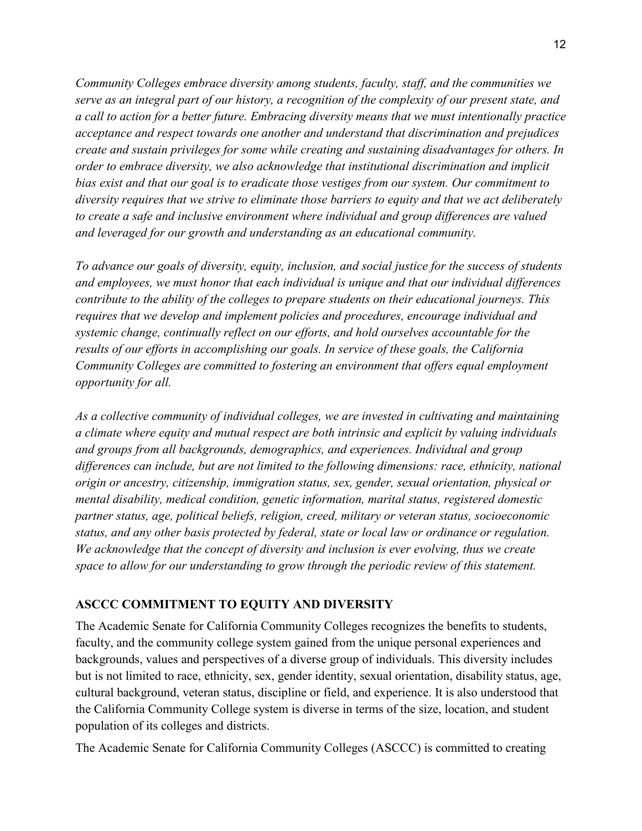*Community Colleges embrace diversity among students, faculty, staff, and the communities we serve as an integral part of our history, a recognition of the complexity of our present state, and a call to action for a better future. Embracing diversity means that we must intentionally practice acceptance and respect towards one another and understand that discrimination and prejudices create and sustain privileges for some while creating and sustaining disadvantages for others. In order to embrace diversity, we also acknowledge that institutional discrimination and implicit bias exist and that our goal is to eradicate those vestiges from our system. Our commitment to diversity requires that we strive to eliminate those barriers to equity and that we act deliberately to create a safe and inclusive environment where individual and group differences are valued and leveraged for our growth and understanding as an educational community.*

*To advance our goals of diversity, equity, inclusion, and social justice for the success of students and employees, we must honor that each individual is unique and that our individual differences contribute to the ability of the colleges to prepare students on their educational journeys. This requires that we develop and implement policies and procedures, encourage individual and systemic change, continually reflect on our efforts, and hold ourselves accountable for the results of our efforts in accomplishing our goals. In service of these goals, the California Community Colleges are committed to fostering an environment that offers equal employment opportunity for all.* 

*As a collective community of individual colleges, we are invested in cultivating and maintaining a climate where equity and mutual respect are both intrinsic and explicit by valuing individuals and groups from all backgrounds, demographics, and experiences. Individual and group differences can include, but are not limited to the following dimensions: race, ethnicity, national origin or ancestry, citizenship, immigration status, sex, gender, sexual orientation, physical or mental disability, medical condition, genetic information, marital status, registered domestic partner status, age, political beliefs, religion, creed, military or veteran status, socioeconomic status, and any other basis protected by federal, state or local law or ordinance or regulation. We acknowledge that the concept of diversity and inclusion is ever evolving, thus we create space to allow for our understanding to grow through the periodic review of this statement.*

### **ASCCC COMMITMENT TO EQUITY AND DIVERSITY**

The Academic Senate for California Community Colleges recognizes the benefits to students, faculty, and the community college system gained from the unique personal experiences and backgrounds, values and perspectives of a diverse group of individuals. This diversity includes but is not limited to race, ethnicity, sex, gender identity, sexual orientation, disability status, age, cultural background, veteran status, discipline or field, and experience. It is also understood that the California Community College system is diverse in terms of the size, location, and student population of its colleges and districts.

The Academic Senate for California Community Colleges (ASCCC) is committed to creating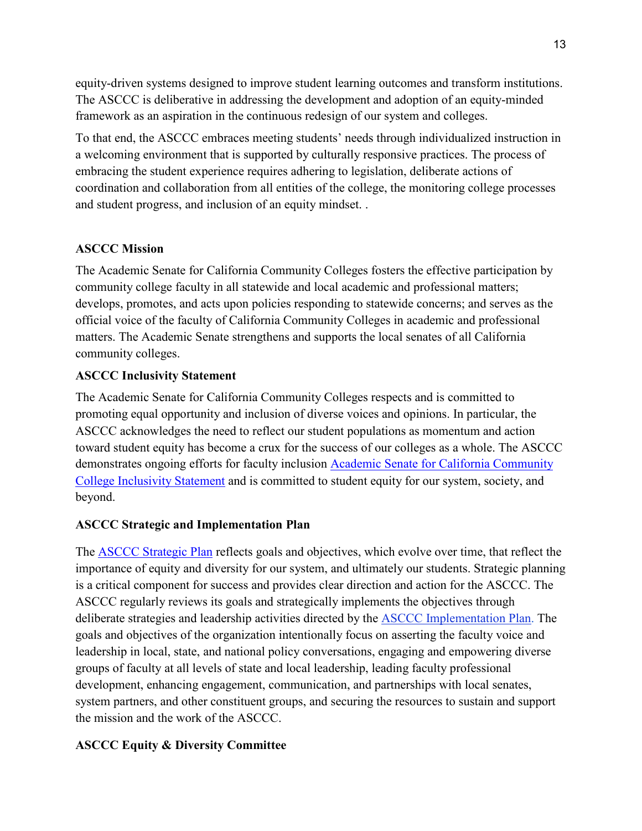equity-driven systems designed to improve student learning outcomes and transform institutions. The ASCCC is deliberative in addressing the development and adoption of an equity-minded framework as an aspiration in the continuous redesign of our system and colleges.

To that end, the ASCCC embraces meeting students' needs through individualized instruction in a welcoming environment that is supported by culturally responsive practices. The process of embracing the student experience requires adhering to legislation, deliberate actions of coordination and collaboration from all entities of the college, the monitoring college processes and student progress, and inclusion of an equity mindset. .

#### **ASCCC Mission**

The Academic Senate for California Community Colleges fosters the effective participation by community college faculty in all statewide and local academic and professional matters; develops, promotes, and acts upon policies responding to statewide concerns; and serves as the official voice of the faculty of California Community Colleges in academic and professional matters. The Academic Senate strengthens and supports the local senates of all California community colleges.

#### **ASCCC Inclusivity Statement**

The Academic Senate for California Community Colleges respects and is committed to promoting equal opportunity and inclusion of diverse voices and opinions. In particular, the ASCCC acknowledges the need to reflect our student populations as momentum and action toward student equity has become a crux for the success of our colleges as a whole. The ASCCC demonstrates ongoing efforts for faculty inclusion [Academic Senate for California Community](https://www.asccc.org/inclusivity-statement)  [College Inclusivity Statement](https://www.asccc.org/inclusivity-statement) and is committed to student equity for our system, society, and beyond.

#### **ASCCC Strategic and Implementation Plan**

The [ASCCC Strategic Plan](https://www.asccc.org/sites/default/files/Final_Strategic_Plan_April_14_2018.pdf) reflects goals and objectives, which evolve over time, that reflect the importance of equity and diversity for our system, and ultimately our students. Strategic planning is a critical component for success and provides clear direction and action for the ASCCC. The ASCCC regularly reviews its goals and strategically implements the objectives through deliberate strategies and leadership activities directed by the [ASCCC Implementation Plan.](https://www.asccc.org/sites/default/files/ASCCC_Strategic_Plan_2018-2023_final.pdf) The goals and objectives of the organization intentionally focus on asserting the faculty voice and leadership in local, state, and national policy conversations, engaging and empowering diverse groups of faculty at all levels of state and local leadership, leading faculty professional development, enhancing engagement, communication, and partnerships with local senates, system partners, and other constituent groups, and securing the resources to sustain and support the mission and the work of the ASCCC.

### **ASCCC Equity & Diversity Committee**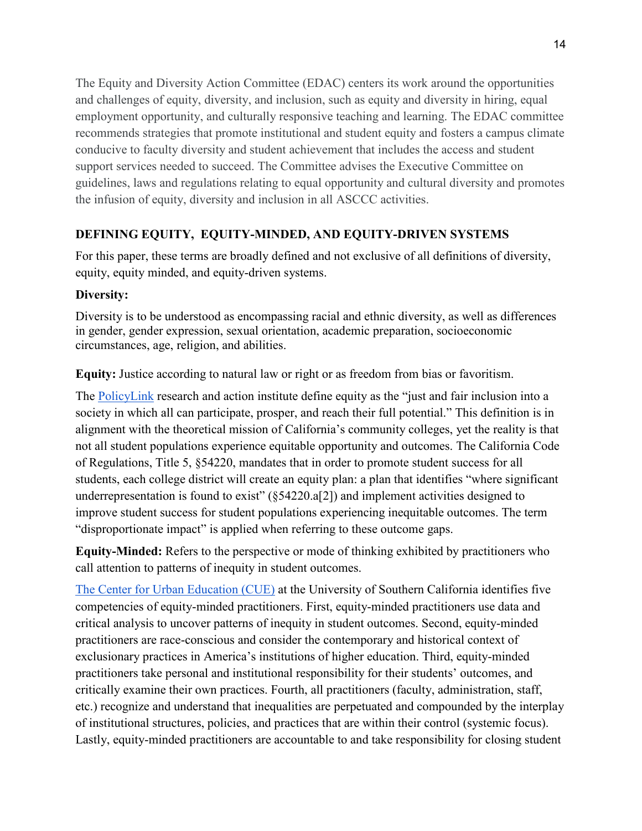The Equity and Diversity Action Committee (EDAC) centers its work around the opportunities and challenges of equity, diversity, and inclusion, such as equity and diversity in hiring, equal employment opportunity, and culturally responsive teaching and learning. The EDAC committee recommends strategies that promote institutional and student equity and fosters a campus climate conducive to faculty diversity and student achievement that includes the access and student support services needed to succeed. The Committee advises the Executive Committee on guidelines, laws and regulations relating to equal opportunity and cultural diversity and promotes the infusion of equity, diversity and inclusion in all ASCCC activities.

# **DEFINING EQUITY, EQUITY-MINDED, AND EQUITY-DRIVEN SYSTEMS**

For this paper, these terms are broadly defined and not exclusive of all definitions of diversity, equity, equity minded, and equity-driven systems.

## **Diversity:**

Diversity is to be understood as encompassing racial and ethnic diversity, as well as differences in gender, gender expression, sexual orientation, academic preparation, socioeconomic circumstances, age, religion, and abilities.

**Equity:** Justice according to natural law or right or as freedom from bias or favoritism.

The [PolicyLink](https://www.policylink.org/) research and action institute define equity as the "just and fair inclusion into a society in which all can participate, prosper, and reach their full potential." This definition is in alignment with the theoretical mission of California's community colleges, yet the reality is that not all student populations experience equitable opportunity and outcomes. The California Code of Regulations, Title 5, §54220, mandates that in order to promote student success for all students, each college district will create an equity plan: a plan that identifies "where significant underrepresentation is found to exist"  $(\S 54220 \text{ a} [2])$  and implement activities designed to improve student success for student populations experiencing inequitable outcomes. The term "disproportionate impact" is applied when referring to these outcome gaps.

**Equity-Minded:** Refers to the perspective or mode of thinking exhibited by practitioners who call attention to patterns of inequity in student outcomes.

[The Center for Urban Education \(CUE\)](https://cue.usc.edu/about/equity/equity-mindedness/) at the University of Southern California identifies five competencies of equity-minded practitioners. First, equity-minded practitioners use data and critical analysis to uncover patterns of inequity in student outcomes. Second, equity-minded practitioners are race-conscious and consider the contemporary and historical context of exclusionary practices in America's institutions of higher education. Third, equity-minded practitioners take personal and institutional responsibility for their students' outcomes, and critically examine their own practices. Fourth, all practitioners (faculty, administration, staff, etc.) recognize and understand that inequalities are perpetuated and compounded by the interplay of institutional structures, policies, and practices that are within their control (systemic focus). Lastly, equity-minded practitioners are accountable to and take responsibility for closing student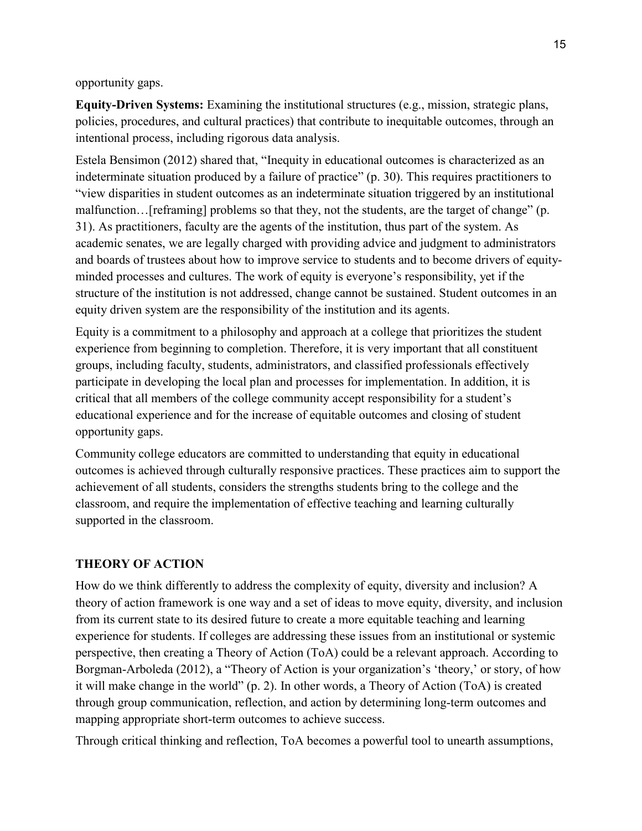opportunity gaps.

**Equity-Driven Systems:** Examining the institutional structures (e.g., mission, strategic plans, policies, procedures, and cultural practices) that contribute to inequitable outcomes, through an intentional process, including rigorous data analysis.

Estela Bensimon (2012) shared that, "Inequity in educational outcomes is characterized as an indeterminate situation produced by a failure of practice" (p. 30). This requires practitioners to "view disparities in student outcomes as an indeterminate situation triggered by an institutional malfunction…[reframing] problems so that they, not the students, are the target of change" (p. 31). As practitioners, faculty are the agents of the institution, thus part of the system. As academic senates, we are legally charged with providing advice and judgment to administrators and boards of trustees about how to improve service to students and to become drivers of equityminded processes and cultures. The work of equity is everyone's responsibility, yet if the structure of the institution is not addressed, change cannot be sustained. Student outcomes in an equity driven system are the responsibility of the institution and its agents.

Equity is a commitment to a philosophy and approach at a college that prioritizes the student experience from beginning to completion. Therefore, it is very important that all constituent groups, including faculty, students, administrators, and classified professionals effectively participate in developing the local plan and processes for implementation. In addition, it is critical that all members of the college community accept responsibility for a student's educational experience and for the increase of equitable outcomes and closing of student opportunity gaps.

Community college educators are committed to understanding that equity in educational outcomes is achieved through culturally responsive practices. These practices aim to support the achievement of all students, considers the strengths students bring to the college and the classroom, and require the implementation of effective teaching and learning culturally supported in the classroom.

### **THEORY OF ACTION**

How do we think differently to address the complexity of equity, diversity and inclusion? A theory of action framework is one way and a set of ideas to move equity, diversity, and inclusion from its current state to its desired future to create a more equitable teaching and learning experience for students. If colleges are addressing these issues from an institutional or systemic perspective, then creating a Theory of Action (ToA) could be a relevant approach. According to Borgman-Arboleda (2012), a "Theory of Action is your organization's 'theory,' or story, of how it will make change in the world" (p. 2). In other words, a Theory of Action (ToA) is created through group communication, reflection, and action by determining long-term outcomes and mapping appropriate short-term outcomes to achieve success.

Through critical thinking and reflection, ToA becomes a powerful tool to unearth assumptions,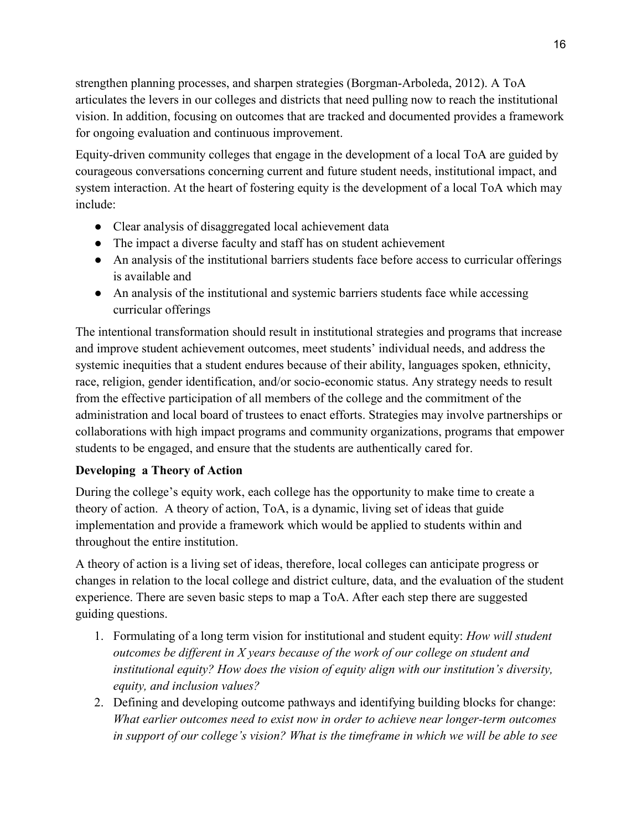strengthen planning processes, and sharpen strategies (Borgman-Arboleda, 2012). A ToA articulates the levers in our colleges and districts that need pulling now to reach the institutional vision. In addition, focusing on outcomes that are tracked and documented provides a framework for ongoing evaluation and continuous improvement.

Equity-driven community colleges that engage in the development of a local ToA are guided by courageous conversations concerning current and future student needs, institutional impact, and system interaction. At the heart of fostering equity is the development of a local ToA which may include:

- Clear analysis of disaggregated local achievement data
- The impact a diverse faculty and staff has on student achievement
- An analysis of the institutional barriers students face before access to curricular offerings is available and
- An analysis of the institutional and systemic barriers students face while accessing curricular offerings

The intentional transformation should result in institutional strategies and programs that increase and improve student achievement outcomes, meet students' individual needs, and address the systemic inequities that a student endures because of their ability, languages spoken, ethnicity, race, religion, gender identification, and/or socio-economic status. Any strategy needs to result from the effective participation of all members of the college and the commitment of the administration and local board of trustees to enact efforts. Strategies may involve partnerships or collaborations with high impact programs and community organizations, programs that empower students to be engaged, and ensure that the students are authentically cared for.

# **Developing a Theory of Action**

During the college's equity work, each college has the opportunity to make time to create a theory of action. A theory of action, ToA, is a dynamic, living set of ideas that guide implementation and provide a framework which would be applied to students within and throughout the entire institution.

A theory of action is a living set of ideas, therefore, local colleges can anticipate progress or changes in relation to the local college and district culture, data, and the evaluation of the student experience. There are seven basic steps to map a ToA. After each step there are suggested guiding questions.

- 1. Formulating of a long term vision for institutional and student equity: *How will student outcomes be different in X years because of the work of our college on student and institutional equity? How does the vision of equity align with our institution's diversity, equity, and inclusion values?*
- 2. Defining and developing outcome pathways and identifying building blocks for change: *What earlier outcomes need to exist now in order to achieve near longer-term outcomes in support of our college's vision? What is the timeframe in which we will be able to see*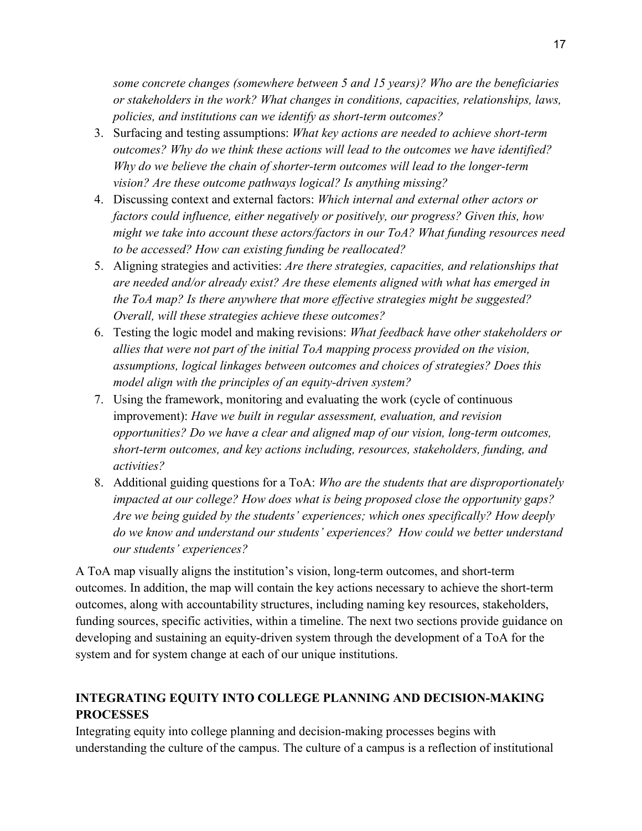*some concrete changes (somewhere between 5 and 15 years)? Who are the beneficiaries or stakeholders in the work? What changes in conditions, capacities, relationships, laws, policies, and institutions can we identify as short-term outcomes?* 

- 3. Surfacing and testing assumptions: *What key actions are needed to achieve short-term outcomes? Why do we think these actions will lead to the outcomes we have identified? Why do we believe the chain of shorter-term outcomes will lead to the longer-term vision? Are these outcome pathways logical? Is anything missing?*
- 4. Discussing context and external factors: *Which internal and external other actors or factors could influence, either negatively or positively, our progress? Given this, how might we take into account these actors/factors in our ToA? What funding resources need to be accessed? How can existing funding be reallocated?*
- 5. Aligning strategies and activities: *Are there strategies, capacities, and relationships that are needed and/or already exist? Are these elements aligned with what has emerged in the ToA map? Is there anywhere that more effective strategies might be suggested? Overall, will these strategies achieve these outcomes?*
- 6. Testing the logic model and making revisions: *What feedback have other stakeholders or allies that were not part of the initial ToA mapping process provided on the vision, assumptions, logical linkages between outcomes and choices of strategies? Does this model align with the principles of an equity-driven system?*
- 7. Using the framework, monitoring and evaluating the work (cycle of continuous improvement): *Have we built in regular assessment, evaluation, and revision opportunities? Do we have a clear and aligned map of our vision, long-term outcomes, short-term outcomes, and key actions including, resources, stakeholders, funding, and activities?*
- 8. Additional guiding questions for a ToA: *Who are the students that are disproportionately impacted at our college? How does what is being proposed close the opportunity gaps? Are we being guided by the students' experiences; which ones specifically? How deeply do we know and understand our students' experiences? How could we better understand our students' experiences?*

A ToA map visually aligns the institution's vision, long-term outcomes, and short-term outcomes. In addition, the map will contain the key actions necessary to achieve the short-term outcomes, along with accountability structures, including naming key resources, stakeholders, funding sources, specific activities, within a timeline. The next two sections provide guidance on developing and sustaining an equity-driven system through the development of a ToA for the system and for system change at each of our unique institutions.

# **INTEGRATING EQUITY INTO COLLEGE PLANNING AND DECISION-MAKING PROCESSES**

Integrating equity into college planning and decision-making processes begins with understanding the culture of the campus. The culture of a campus is a reflection of institutional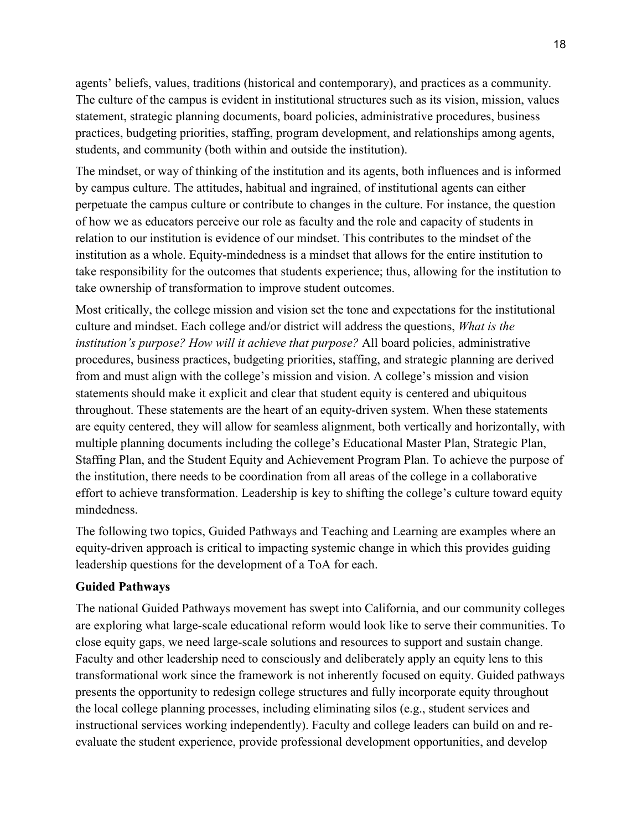agents' beliefs, values, traditions (historical and contemporary), and practices as a community. The culture of the campus is evident in institutional structures such as its vision, mission, values statement, strategic planning documents, board policies, administrative procedures, business practices, budgeting priorities, staffing, program development, and relationships among agents, students, and community (both within and outside the institution).

The mindset, or way of thinking of the institution and its agents, both influences and is informed by campus culture. The attitudes, habitual and ingrained, of institutional agents can either perpetuate the campus culture or contribute to changes in the culture. For instance, the question of how we as educators perceive our role as faculty and the role and capacity of students in relation to our institution is evidence of our mindset. This contributes to the mindset of the institution as a whole. Equity-mindedness is a mindset that allows for the entire institution to take responsibility for the outcomes that students experience; thus, allowing for the institution to take ownership of transformation to improve student outcomes.

Most critically, the college mission and vision set the tone and expectations for the institutional culture and mindset. Each college and/or district will address the questions, *What is the institution's purpose? How will it achieve that purpose?* All board policies, administrative procedures, business practices, budgeting priorities, staffing, and strategic planning are derived from and must align with the college's mission and vision. A college's mission and vision statements should make it explicit and clear that student equity is centered and ubiquitous throughout. These statements are the heart of an equity-driven system. When these statements are equity centered, they will allow for seamless alignment, both vertically and horizontally, with multiple planning documents including the college's Educational Master Plan, Strategic Plan, Staffing Plan, and the Student Equity and Achievement Program Plan. To achieve the purpose of the institution, there needs to be coordination from all areas of the college in a collaborative effort to achieve transformation. Leadership is key to shifting the college's culture toward equity mindedness.

The following two topics, Guided Pathways and Teaching and Learning are examples where an equity-driven approach is critical to impacting systemic change in which this provides guiding leadership questions for the development of a ToA for each.

### **Guided Pathways**

The national Guided Pathways movement has swept into California, and our community colleges are exploring what large-scale educational reform would look like to serve their communities. To close equity gaps, we need large-scale solutions and resources to support and sustain change. Faculty and other leadership need to consciously and deliberately apply an equity lens to this transformational work since the framework is not inherently focused on equity. Guided pathways presents the opportunity to redesign college structures and fully incorporate equity throughout the local college planning processes, including eliminating silos (e.g., student services and instructional services working independently). Faculty and college leaders can build on and reevaluate the student experience, provide professional development opportunities, and develop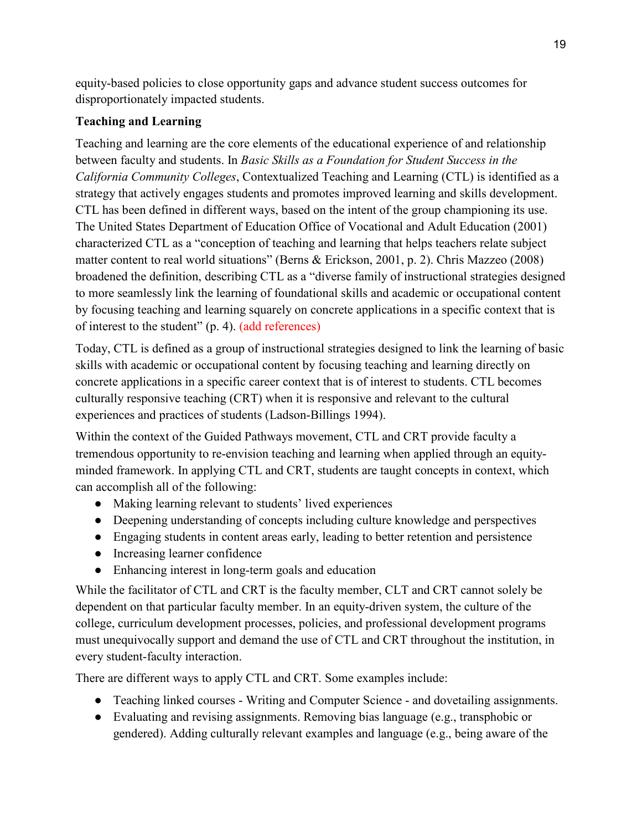equity-based policies to close opportunity gaps and advance student success outcomes for disproportionately impacted students.

## **Teaching and Learning**

Teaching and learning are the core elements of the educational experience of and relationship between faculty and students. In *Basic Skills as a Foundation for Student Success in the California Community Colleges*, Contextualized Teaching and Learning (CTL) is identified as a strategy that actively engages students and promotes improved learning and skills development. CTL has been defined in different ways, based on the intent of the group championing its use. The United States Department of Education Office of Vocational and Adult Education (2001) characterized CTL as a "conception of teaching and learning that helps teachers relate subject matter content to real world situations" (Berns & Erickson, 2001, p. 2). Chris Mazzeo (2008) broadened the definition, describing CTL as a "diverse family of instructional strategies designed to more seamlessly link the learning of foundational skills and academic or occupational content by focusing teaching and learning squarely on concrete applications in a specific context that is of interest to the student" (p. 4). (add references)

Today, CTL is defined as a group of instructional strategies designed to link the learning of basic skills with academic or occupational content by focusing teaching and learning directly on concrete applications in a specific career context that is of interest to students. CTL becomes culturally responsive teaching (CRT) when it is responsive and relevant to the cultural experiences and practices of students (Ladson-Billings 1994).

Within the context of the Guided Pathways movement, CTL and CRT provide faculty a tremendous opportunity to re-envision teaching and learning when applied through an equityminded framework. In applying CTL and CRT, students are taught concepts in context, which can accomplish all of the following:

- Making learning relevant to students' lived experiences
- Deepening understanding of concepts including culture knowledge and perspectives
- Engaging students in content areas early, leading to better retention and persistence
- Increasing learner confidence
- Enhancing interest in long-term goals and education

While the facilitator of CTL and CRT is the faculty member, CLT and CRT cannot solely be dependent on that particular faculty member. In an equity-driven system, the culture of the college, curriculum development processes, policies, and professional development programs must unequivocally support and demand the use of CTL and CRT throughout the institution, in every student-faculty interaction.

There are different ways to apply CTL and CRT. Some examples include:

- Teaching linked courses Writing and Computer Science and dovetailing assignments.
- Evaluating and revising assignments. Removing bias language (e.g., transphobic or gendered). Adding culturally relevant examples and language (e.g., being aware of the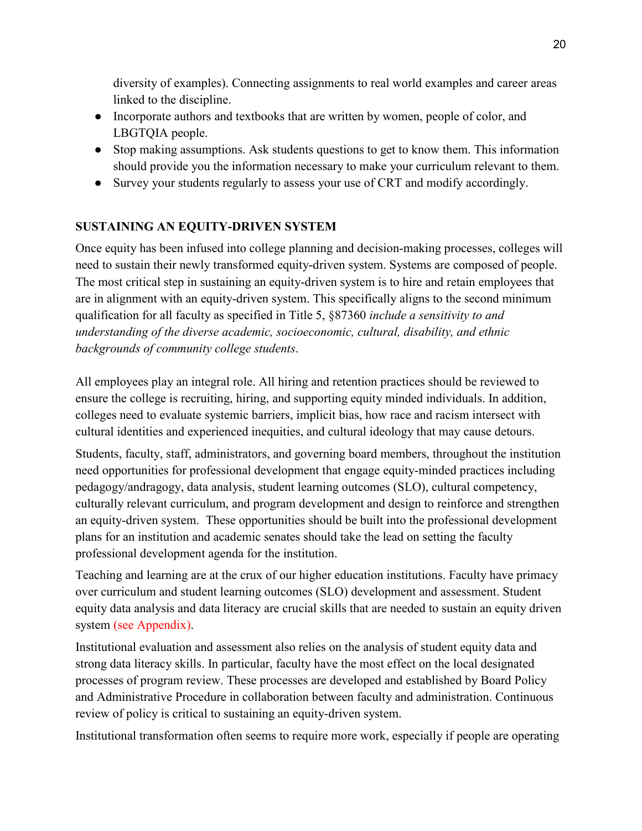diversity of examples). Connecting assignments to real world examples and career areas linked to the discipline.

- Incorporate authors and textbooks that are written by women, people of color, and LBGTQIA people.
- Stop making assumptions. Ask students questions to get to know them. This information should provide you the information necessary to make your curriculum relevant to them.
- Survey your students regularly to assess your use of CRT and modify accordingly.

# **SUSTAINING AN EQUITY-DRIVEN SYSTEM**

Once equity has been infused into college planning and decision-making processes, colleges will need to sustain their newly transformed equity-driven system. Systems are composed of people. The most critical step in sustaining an equity-driven system is to hire and retain employees that are in alignment with an equity-driven system. This specifically aligns to the second minimum qualification for all faculty as specified in Title 5, §87360 *include a sensitivity to and understanding of the diverse academic, socioeconomic, cultural, disability, and ethnic backgrounds of community college students*.

All employees play an integral role. All hiring and retention practices should be reviewed to ensure the college is recruiting, hiring, and supporting equity minded individuals. In addition, colleges need to evaluate systemic barriers, implicit bias, how race and racism intersect with cultural identities and experienced inequities, and cultural ideology that may cause detours.

Students, faculty, staff, administrators, and governing board members, throughout the institution need opportunities for professional development that engage equity-minded practices including pedagogy/andragogy, data analysis, student learning outcomes (SLO), cultural competency, culturally relevant curriculum, and program development and design to reinforce and strengthen an equity-driven system. These opportunities should be built into the professional development plans for an institution and academic senates should take the lead on setting the faculty professional development agenda for the institution.

Teaching and learning are at the crux of our higher education institutions. Faculty have primacy over curriculum and student learning outcomes (SLO) development and assessment. Student equity data analysis and data literacy are crucial skills that are needed to sustain an equity driven system (see Appendix).

Institutional evaluation and assessment also relies on the analysis of student equity data and strong data literacy skills. In particular, faculty have the most effect on the local designated processes of program review. These processes are developed and established by Board Policy and Administrative Procedure in collaboration between faculty and administration. Continuous review of policy is critical to sustaining an equity-driven system.

Institutional transformation often seems to require more work, especially if people are operating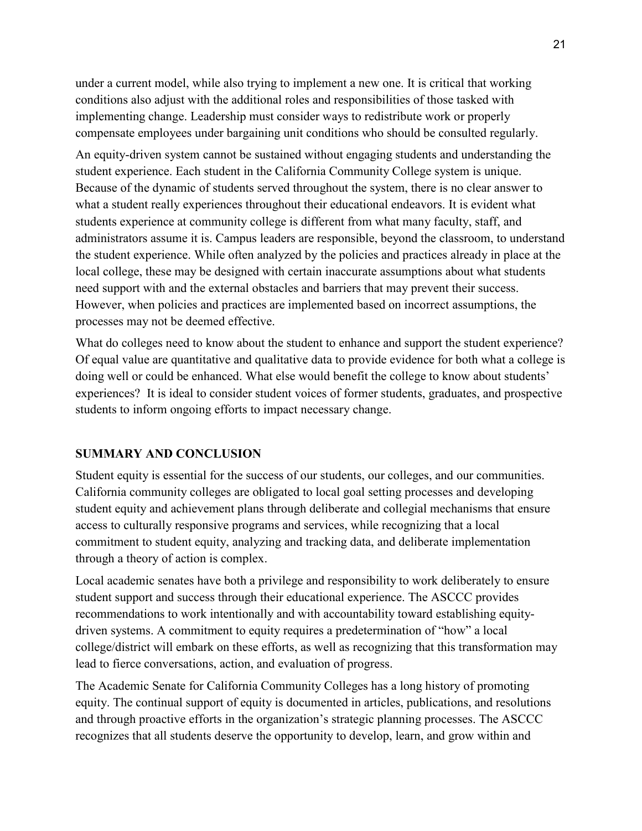under a current model, while also trying to implement a new one. It is critical that working conditions also adjust with the additional roles and responsibilities of those tasked with implementing change. Leadership must consider ways to redistribute work or properly compensate employees under bargaining unit conditions who should be consulted regularly.

An equity-driven system cannot be sustained without engaging students and understanding the student experience. Each student in the California Community College system is unique. Because of the dynamic of students served throughout the system, there is no clear answer to what a student really experiences throughout their educational endeavors. It is evident what students experience at community college is different from what many faculty, staff, and administrators assume it is. Campus leaders are responsible, beyond the classroom, to understand the student experience. While often analyzed by the policies and practices already in place at the local college, these may be designed with certain inaccurate assumptions about what students need support with and the external obstacles and barriers that may prevent their success. However, when policies and practices are implemented based on incorrect assumptions, the processes may not be deemed effective.

What do colleges need to know about the student to enhance and support the student experience? Of equal value are quantitative and qualitative data to provide evidence for both what a college is doing well or could be enhanced. What else would benefit the college to know about students' experiences? It is ideal to consider student voices of former students, graduates, and prospective students to inform ongoing efforts to impact necessary change.

### **SUMMARY AND CONCLUSION**

Student equity is essential for the success of our students, our colleges, and our communities. California community colleges are obligated to local goal setting processes and developing student equity and achievement plans through deliberate and collegial mechanisms that ensure access to culturally responsive programs and services, while recognizing that a local commitment to student equity, analyzing and tracking data, and deliberate implementation through a theory of action is complex.

Local academic senates have both a privilege and responsibility to work deliberately to ensure student support and success through their educational experience. The ASCCC provides recommendations to work intentionally and with accountability toward establishing equitydriven systems. A commitment to equity requires a predetermination of "how" a local college/district will embark on these efforts, as well as recognizing that this transformation may lead to fierce conversations, action, and evaluation of progress.

The Academic Senate for California Community Colleges has a long history of promoting equity. The continual support of equity is documented in articles, publications, and resolutions and through proactive efforts in the organization's strategic planning processes. The ASCCC recognizes that all students deserve the opportunity to develop, learn, and grow within and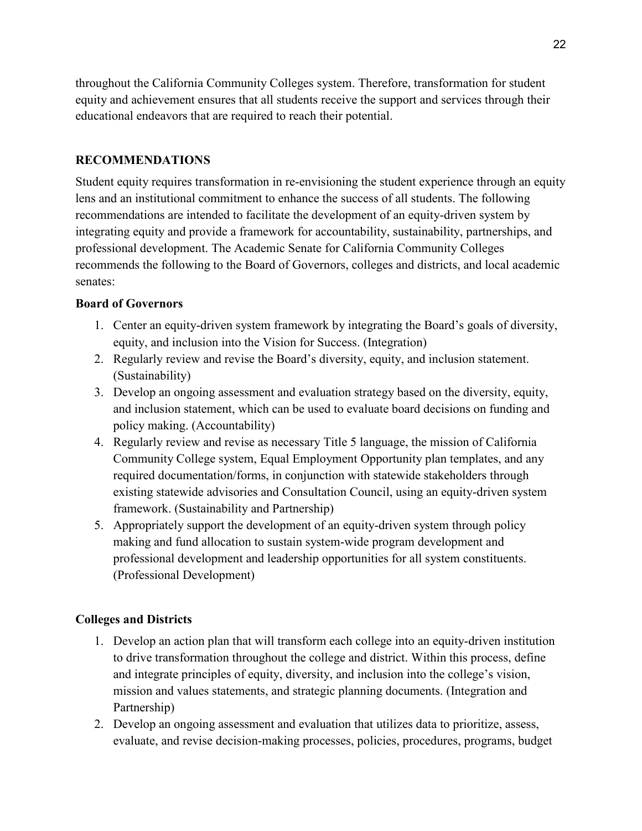throughout the California Community Colleges system. Therefore, transformation for student equity and achievement ensures that all students receive the support and services through their educational endeavors that are required to reach their potential.

### **RECOMMENDATIONS**

Student equity requires transformation in re-envisioning the student experience through an equity lens and an institutional commitment to enhance the success of all students. The following recommendations are intended to facilitate the development of an equity-driven system by integrating equity and provide a framework for accountability, sustainability, partnerships, and professional development. The Academic Senate for California Community Colleges recommends the following to the Board of Governors, colleges and districts, and local academic senates:

## **Board of Governors**

- 1. Center an equity-driven system framework by integrating the Board's goals of diversity, equity, and inclusion into the Vision for Success. (Integration)
- 2. Regularly review and revise the Board's diversity, equity, and inclusion statement. (Sustainability)
- 3. Develop an ongoing assessment and evaluation strategy based on the diversity, equity, and inclusion statement, which can be used to evaluate board decisions on funding and policy making. (Accountability)
- 4. Regularly review and revise as necessary Title 5 language, the mission of California Community College system, Equal Employment Opportunity plan templates, and any required documentation/forms, in conjunction with statewide stakeholders through existing statewide advisories and Consultation Council, using an equity-driven system framework. (Sustainability and Partnership)
- 5. Appropriately support the development of an equity-driven system through policy making and fund allocation to sustain system-wide program development and professional development and leadership opportunities for all system constituents. (Professional Development)

# **Colleges and Districts**

- 1. Develop an action plan that will transform each college into an equity-driven institution to drive transformation throughout the college and district. Within this process, define and integrate principles of equity, diversity, and inclusion into the college's vision, mission and values statements, and strategic planning documents. (Integration and Partnership)
- 2. Develop an ongoing assessment and evaluation that utilizes data to prioritize, assess, evaluate, and revise decision-making processes, policies, procedures, programs, budget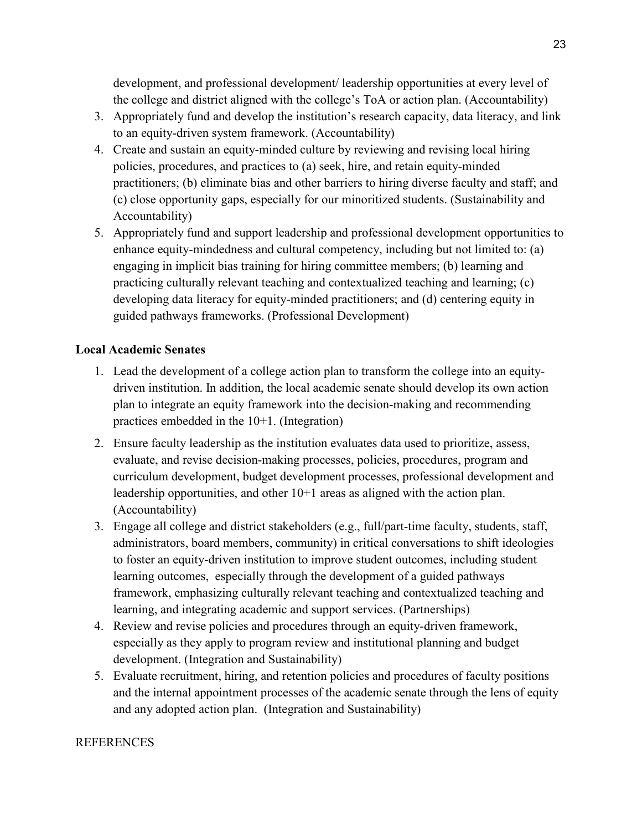development, and professional development/ leadership opportunities at every level of the college and district aligned with the college's ToA or action plan. (Accountability)

- 3. Appropriately fund and develop the institution's research capacity, data literacy, and link to an equity-driven system framework. (Accountability)
- 4. Create and sustain an equity-minded culture by reviewing and revising local hiring policies, procedures, and practices to (a) seek, hire, and retain equity-minded practitioners; (b) eliminate bias and other barriers to hiring diverse faculty and staff; and (c) close opportunity gaps, especially for our minoritized students. (Sustainability and Accountability)
- 5. Appropriately fund and support leadership and professional development opportunities to enhance equity-mindedness and cultural competency, including but not limited to: (a) engaging in implicit bias training for hiring committee members; (b) learning and practicing culturally relevant teaching and contextualized teaching and learning; (c) developing data literacy for equity-minded practitioners; and (d) centering equity in guided pathways frameworks. (Professional Development)

### **Local Academic Senates**

- 1. Lead the development of a college action plan to transform the college into an equitydriven institution. In addition, the local academic senate should develop its own action plan to integrate an equity framework into the decision-making and recommending practices embedded in the 10+1. (Integration)
- 2. Ensure faculty leadership as the institution evaluates data used to prioritize, assess, evaluate, and revise decision-making processes, policies, procedures, program and curriculum development, budget development processes, professional development and leadership opportunities, and other 10+1 areas as aligned with the action plan. (Accountability)
- 3. Engage all college and district stakeholders (e.g., full/part-time faculty, students, staff, administrators, board members, community) in critical conversations to shift ideologies to foster an equity-driven institution to improve student outcomes, including student learning outcomes, especially through the development of a guided pathways framework, emphasizing culturally relevant teaching and contextualized teaching and learning, and integrating academic and support services. (Partnerships)
- 4. Review and revise policies and procedures through an equity-driven framework, especially as they apply to program review and institutional planning and budget development. (Integration and Sustainability)
- 5. Evaluate recruitment, hiring, and retention policies and procedures of faculty positions and the internal appointment processes of the academic senate through the lens of equity and any adopted action plan. (Integration and Sustainability)

### **REFERENCES**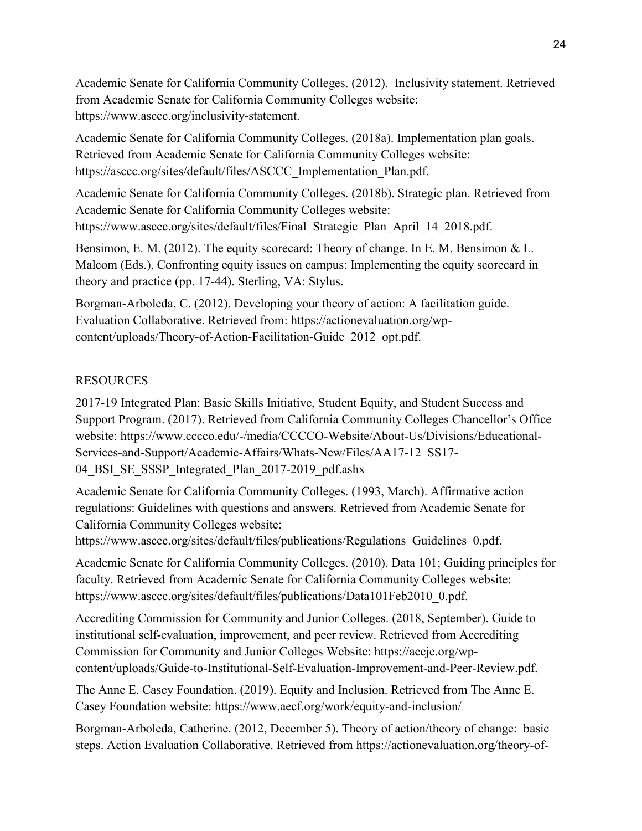Academic Senate for California Community Colleges. (2012). Inclusivity statement. Retrieved from Academic Senate for California Community Colleges website: https://www.asccc.org/inclusivity-statement.

Academic Senate for California Community Colleges. (2018a). Implementation plan goals. Retrieved from Academic Senate for California Community Colleges website: https://asccc.org/sites/default/files/ASCCC\_Implementation\_Plan.pdf.

Academic Senate for California Community Colleges. (2018b). Strategic plan. Retrieved from Academic Senate for California Community Colleges website: https://www.asccc.org/sites/default/files/Final\_Strategic\_Plan\_April\_14\_2018.pdf.

Bensimon, E. M. (2012). The equity scorecard: Theory of change. In E. M. Bensimon & L. Malcom (Eds.), Confronting equity issues on campus: Implementing the equity scorecard in theory and practice (pp. 17-44). Sterling, VA: Stylus.

Borgman-Arboleda, C. (2012). Developing your theory of action: A facilitation guide. Evaluation Collaborative. Retrieved from: https://actionevaluation.org/wpcontent/uploads/Theory-of-Action-Facilitation-Guide\_2012\_opt.pdf.

## RESOURCES

2017-19 Integrated Plan: Basic Skills Initiative, Student Equity, and Student Success and Support Program. (2017). Retrieved from California Community Colleges Chancellor's Office website: https://www.cccco.edu/-/media/CCCCO-Website/About-Us/Divisions/Educational-Services-and-Support/Academic-Affairs/Whats-New/Files/AA17-12\_SS17- 04 BSI SE SSSP\_Integrated\_Plan\_2017-2019\_pdf.ashx

Academic Senate for California Community Colleges. (1993, March). Affirmative action regulations: Guidelines with questions and answers. Retrieved from Academic Senate for California Community Colleges website:

https://www.asccc.org/sites/default/files/publications/Regulations Guidelines 0.pdf.

Academic Senate for California Community Colleges. (2010). Data 101; Guiding principles for faculty. Retrieved from Academic Senate for California Community Colleges website: https://www.asccc.org/sites/default/files/publications/Data101Feb2010\_0.pdf.

Accrediting Commission for Community and Junior Colleges. (2018, September). Guide to institutional self-evaluation, improvement, and peer review. Retrieved from Accrediting Commission for Community and Junior Colleges Website: https://accjc.org/wpcontent/uploads/Guide-to-Institutional-Self-Evaluation-Improvement-and-Peer-Review.pdf.

The Anne E. Casey Foundation. (2019). Equity and Inclusion. Retrieved from The Anne E. Casey Foundation website: https://www.aecf.org/work/equity-and-inclusion/

Borgman-Arboleda, Catherine. (2012, December 5). Theory of action/theory of change: basic steps. Action Evaluation Collaborative. Retrieved from https://actionevaluation.org/theory-of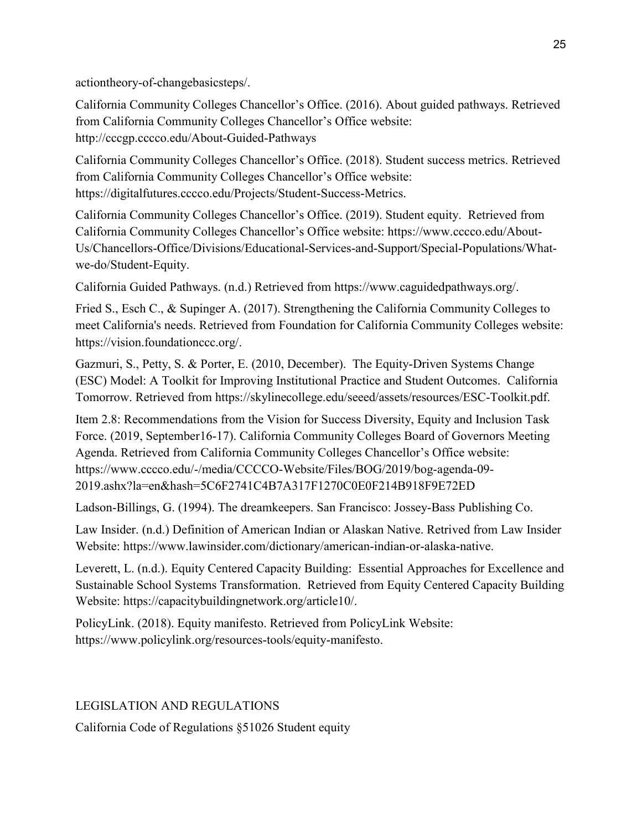actiontheory-of-changebasicsteps/.

California Community Colleges Chancellor's Office. (2016). About guided pathways. Retrieved from California Community Colleges Chancellor's Office website: http://cccgp.cccco.edu/About-Guided-Pathways

California Community Colleges Chancellor's Office. (2018). Student success metrics. Retrieved from California Community Colleges Chancellor's Office website: https://digitalfutures.cccco.edu/Projects/Student-Success-Metrics.

California Community Colleges Chancellor's Office. (2019). Student equity. Retrieved from California Community Colleges Chancellor's Office website: https://www.cccco.edu/About-Us/Chancellors-Office/Divisions/Educational-Services-and-Support/Special-Populations/Whatwe-do/Student-Equity.

California Guided Pathways. (n.d.) Retrieved from https://www.caguidedpathways.org/.

Fried S., Esch C., & Supinger A. (2017). Strengthening the California Community Colleges to meet California's needs. Retrieved from Foundation for California Community Colleges website: https://vision.foundationccc.org/.

Gazmuri, S., Petty, S. & Porter, E. (2010, December). The Equity-Driven Systems Change (ESC) Model: A Toolkit for Improving Institutional Practice and Student Outcomes. California Tomorrow. Retrieved from https://skylinecollege.edu/seeed/assets/resources/ESC-Toolkit.pdf.

Item 2.8: Recommendations from the Vision for Success Diversity, Equity and Inclusion Task Force. (2019, September16-17). California Community Colleges Board of Governors Meeting Agenda. Retrieved from California Community Colleges Chancellor's Office website: https://www.cccco.edu/-/media/CCCCO-Website/Files/BOG/2019/bog-agenda-09- 2019.ashx?la=en&hash=5C6F2741C4B7A317F1270C0E0F214B918F9E72ED

Ladson-Billings, G. (1994). The dreamkeepers. San Francisco: Jossey-Bass Publishing Co.

Law Insider. (n.d.) Definition of American Indian or Alaskan Native. Retrived from Law Insider Website: https://www.lawinsider.com/dictionary/american-indian-or-alaska-native.

Leverett, L. (n.d.). Equity Centered Capacity Building: Essential Approaches for Excellence and Sustainable School Systems Transformation. Retrieved from Equity Centered Capacity Building Website: https://capacitybuildingnetwork.org/article10/.

PolicyLink. (2018). Equity manifesto. Retrieved from PolicyLink Website: https://www.policylink.org/resources-tools/equity-manifesto.

LEGISLATION AND REGULATIONS

California Code of Regulations §51026 Student equity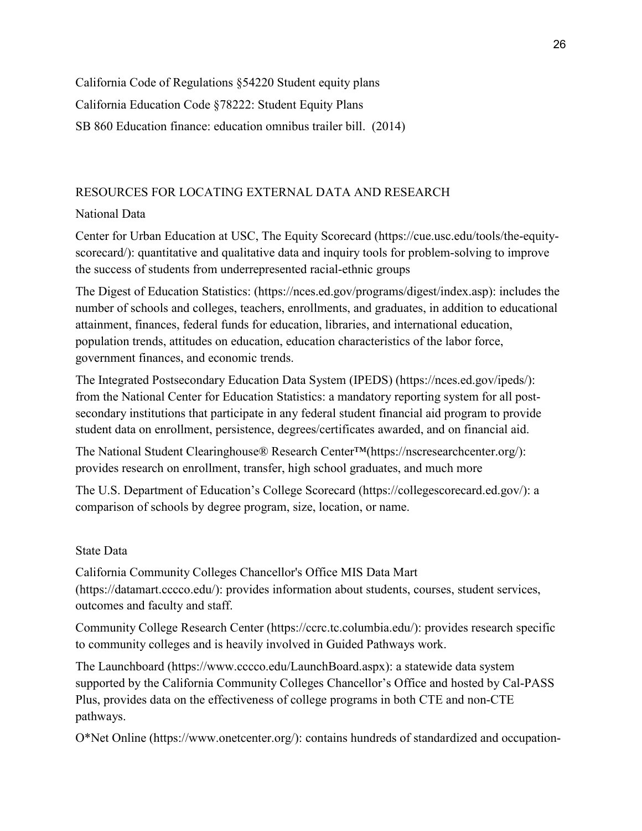California Code of Regulations §54220 Student equity plans California Education Code §78222: Student Equity Plans SB 860 Education finance: education omnibus trailer bill. (2014)

### RESOURCES FOR LOCATING EXTERNAL DATA AND RESEARCH

## National Data

Center for Urban Education at USC, The Equity Scorecard (https://cue.usc.edu/tools/the-equityscorecard/): quantitative and qualitative data and inquiry tools for problem-solving to improve the success of students from underrepresented racial-ethnic groups

The Digest of Education Statistics: (https://nces.ed.gov/programs/digest/index.asp): includes the number of schools and colleges, teachers, enrollments, and graduates, in addition to educational attainment, finances, federal funds for education, libraries, and international education, population trends, attitudes on education, education characteristics of the labor force, government finances, and economic trends.

The Integrated Postsecondary Education Data System (IPEDS) (https://nces.ed.gov/ipeds/): from the National Center for Education Statistics: a mandatory reporting system for all postsecondary institutions that participate in any federal student financial aid program to provide student data on enrollment, persistence, degrees/certificates awarded, and on financial aid.

The National Student Clearinghouse® Research Center™(https://nscresearchcenter.org/): provides research on enrollment, transfer, high school graduates, and much more

The U.S. Department of Education's College Scorecard (https://collegescorecard.ed.gov/): a comparison of schools by degree program, size, location, or name.

### State Data

California Community Colleges Chancellor's Office MIS Data Mart (https://datamart.cccco.edu/): provides information about students, courses, student services, outcomes and faculty and staff.

Community College Research Center (https://ccrc.tc.columbia.edu/): provides research specific to community colleges and is heavily involved in Guided Pathways work.

The Launchboard (https://www.cccco.edu/LaunchBoard.aspx): a statewide data system supported by the California Community Colleges Chancellor's Office and hosted by Cal-PASS Plus, provides data on the effectiveness of college programs in both CTE and non-CTE pathways.

O\*Net Online (https://www.onetcenter.org/): contains hundreds of standardized and occupation-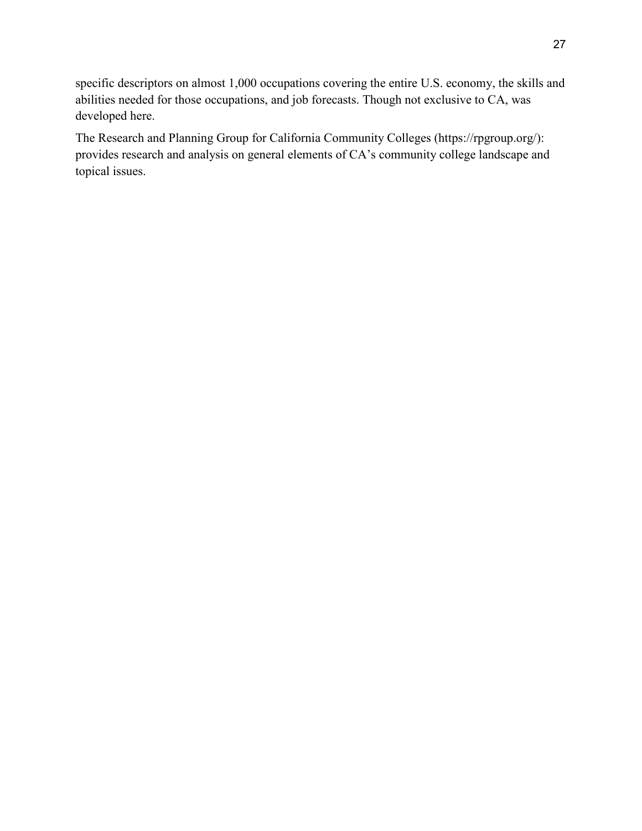specific descriptors on almost 1,000 occupations covering the entire U.S. economy, the skills and abilities needed for those occupations, and job forecasts. Though not exclusive to CA, was developed here.

The Research and Planning Group for California Community Colleges (https://rpgroup.org/): provides research and analysis on general elements of CA's community college landscape and topical issues.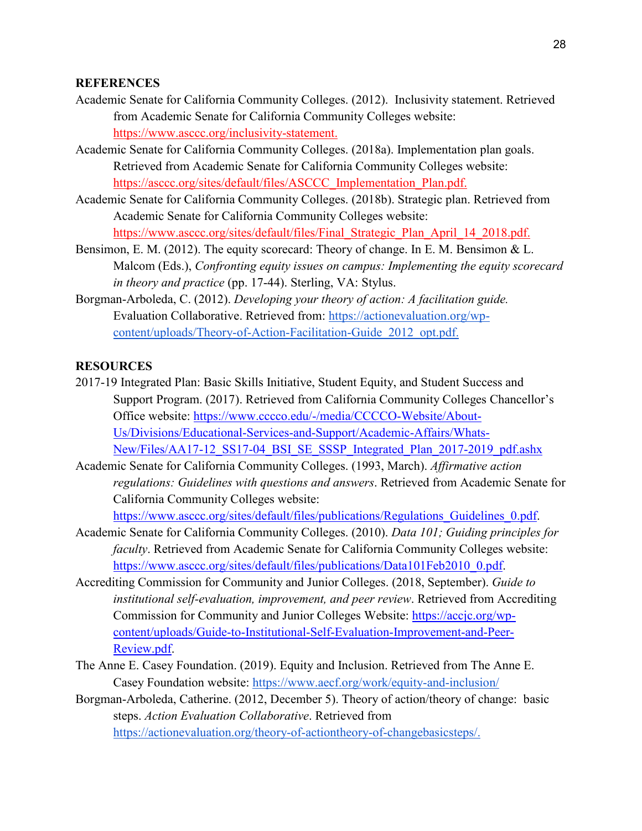#### **REFERENCES**

- Academic Senate for California Community Colleges. (2012). Inclusivity statement. Retrieved from Academic Senate for California Community Colleges website: [https://www.asccc.org/inclusivity-statement.](https://www.asccc.org/inclusivity-statement)
- Academic Senate for California Community Colleges. (2018a). Implementation plan goals. Retrieved from Academic Senate for California Community Colleges website: [https://asccc.org/sites/default/files/ASCCC\\_Implementation\\_Plan.pdf.](https://asccc.org/sites/default/files/ASCCC_Implementation_Plan.pdf)
- Academic Senate for California Community Colleges. (2018b). Strategic plan. Retrieved from Academic Senate for California Community Colleges website: [https://www.asccc.org/sites/default/files/Final\\_Strategic\\_Plan\\_April\\_14\\_2018.pdf.](https://www.asccc.org/sites/default/files/Final_Strategic_Plan_April_14_2018.pdf)
- Bensimon, E. M. (2012). The equity scorecard: Theory of change. In E. M. Bensimon & L. Malcom (Eds.), *Confronting equity issues on campus: Implementing the equity scorecard in theory and practice* (pp. 17-44). Sterling, VA: Stylus.
- Borgman-Arboleda, C. (2012). *Developing your theory of action: A facilitation guide.*  Evaluation Collaborative. Retrieved from: [https://actionevaluation.org/wp](https://actionevaluation.org/wp-content/uploads/Theory-of-Action-Facilitation-Guide_2012_opt.pdf)[content/uploads/Theory-of-Action-Facilitation-Guide\\_2012\\_opt.pdf.](https://actionevaluation.org/wp-content/uploads/Theory-of-Action-Facilitation-Guide_2012_opt.pdf)

#### **RESOURCES**

- 2017-19 Integrated Plan: Basic Skills Initiative, Student Equity, and Student Success and Support Program. (2017). Retrieved from California Community Colleges Chancellor's Office website: [https://www.cccco.edu/-/media/CCCCO-Website/About-](https://www.cccco.edu/-/media/CCCCO-Website/About-Us/Divisions/Educational-Services-and-Support/Academic-Affairs/Whats-New/Files/AA17-12_SS17-04_BSI_SE_SSSP_Integrated_Plan_2017-2019_pdf.ashx)[Us/Divisions/Educational-Services-and-Support/Academic-Affairs/Whats-](https://www.cccco.edu/-/media/CCCCO-Website/About-Us/Divisions/Educational-Services-and-Support/Academic-Affairs/Whats-New/Files/AA17-12_SS17-04_BSI_SE_SSSP_Integrated_Plan_2017-2019_pdf.ashx)[New/Files/AA17-12\\_SS17-04\\_BSI\\_SE\\_SSSP\\_Integrated\\_Plan\\_2017-2019\\_pdf.ashx](https://www.cccco.edu/-/media/CCCCO-Website/About-Us/Divisions/Educational-Services-and-Support/Academic-Affairs/Whats-New/Files/AA17-12_SS17-04_BSI_SE_SSSP_Integrated_Plan_2017-2019_pdf.ashx)
- Academic Senate for California Community Colleges. (1993, March). *Affirmative action regulations: Guidelines with questions and answers*. Retrieved from Academic Senate for California Community Colleges website:

https://www.asccc.org/sites/default/files/publications/Regulations Guidelines 0.pdf.

- Academic Senate for California Community Colleges. (2010). *Data 101; Guiding principles for faculty*. Retrieved from Academic Senate for California Community Colleges website: [https://www.asccc.org/sites/default/files/publications/Data101Feb2010\\_0.pdf.](https://www.asccc.org/sites/default/files/publications/Data101Feb2010_0.pdf)
- Accrediting Commission for Community and Junior Colleges. (2018, September). *Guide to institutional self-evaluation, improvement, and peer review*. Retrieved from Accrediting Commission for Community and Junior Colleges Website: [https://accjc.org/wp](https://accjc.org/wp-content/uploads/Guide-to-Institutional-Self-Evaluation-Improvement-and-Peer-Review.pdf)[content/uploads/Guide-to-Institutional-Self-Evaluation-Improvement-and-Peer-](https://accjc.org/wp-content/uploads/Guide-to-Institutional-Self-Evaluation-Improvement-and-Peer-Review.pdf)[Review.pdf.](https://accjc.org/wp-content/uploads/Guide-to-Institutional-Self-Evaluation-Improvement-and-Peer-Review.pdf)
- The Anne E. Casey Foundation. (2019). Equity and Inclusion. Retrieved from The Anne E. Casey Foundation website:<https://www.aecf.org/work/equity-and-inclusion/>
- Borgman-Arboleda, Catherine. (2012, December 5). Theory of action/theory of change: basic steps. *Action Evaluation Collaborative*. Retrieved from [https://actionevaluation.org/theory-of-actiontheory-of-changebasicsteps/.](https://actionevaluation.org/theory-of-actiontheory-of-changebasicsteps/)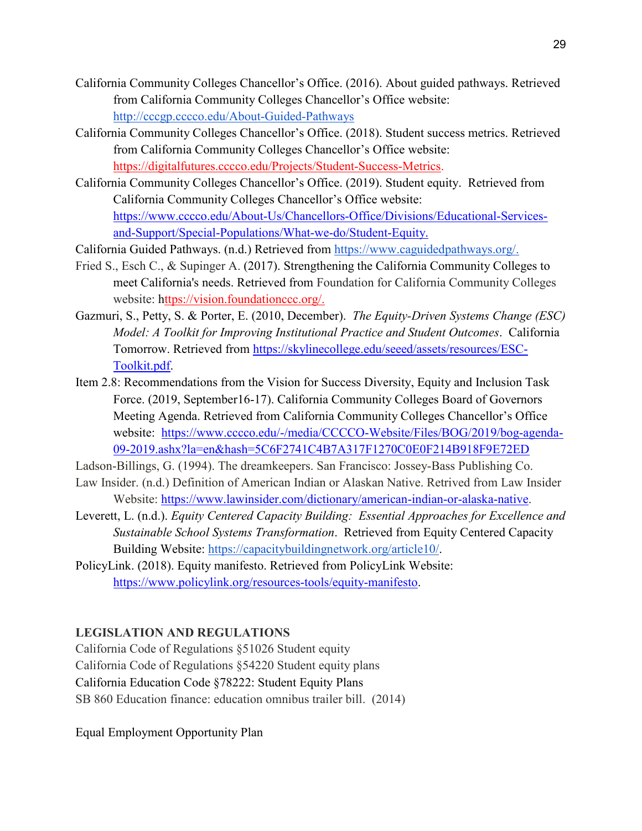- California Community Colleges Chancellor's Office. (2016). About guided pathways. Retrieved from California Community Colleges Chancellor's Office website: <http://cccgp.cccco.edu/About-Guided-Pathways>
- California Community Colleges Chancellor's Office. (2018). Student success metrics. Retrieved from California Community Colleges Chancellor's Office website: [https://digitalfutures.cccco.edu/Projects/Student-Success-Metrics.](https://digitalfutures.cccco.edu/Projects/Student-Success-Metrics)
- California Community Colleges Chancellor's Office. (2019). Student equity. Retrieved from California Community Colleges Chancellor's Office website: [https://www.cccco.edu/About-Us/Chancellors-Office/Divisions/Educational-Services](https://www.cccco.edu/About-Us/Chancellors-Office/Divisions/Educational-Services-and-Support/Special-Populations/What-we-do/Student-Equity)[and-Support/Special-Populations/What-we-do/Student-Equity.](https://www.cccco.edu/About-Us/Chancellors-Office/Divisions/Educational-Services-and-Support/Special-Populations/What-we-do/Student-Equity)
- California Guided Pathways. (n.d.) Retrieved from [https://www.caguidedpathways.org/.](https://www.caguidedpathways.org/)
- Fried S., Esch C., & Supinger A. (2017). Strengthening the California Community Colleges to meet California's needs. Retrieved from Foundation for California Community Colleges website: [https://vision.foundationccc.org/.](https://vision.foundationccc.org/)
- Gazmuri, S., Petty, S. & Porter, E. (2010, December). *The Equity-Driven Systems Change (ESC) Model: A Toolkit for Improving Institutional Practice and Student Outcomes*. California Tomorrow. Retrieved from [https://skylinecollege.edu/seeed/assets/resources/ESC-](https://skylinecollege.edu/seeed/assets/resources/ESC-Toolkit.pdf)[Toolkit.pdf.](https://skylinecollege.edu/seeed/assets/resources/ESC-Toolkit.pdf)
- Item 2.8: Recommendations from the Vision for Success Diversity, Equity and Inclusion Task Force. (2019, September16-17). California Community Colleges Board of Governors Meeting Agenda. Retrieved from California Community Colleges Chancellor's Office website: [https://www.cccco.edu/-/media/CCCCO-Website/Files/BOG/2019/bog-agenda-](https://www.cccco.edu/-/media/CCCCO-Website/Files/BOG/2019/bog-agenda-09-2019.ashx?la=en&hash=5C6F2741C4B7A317F1270C0E0F214B918F9E72ED)[09-2019.ashx?la=en&hash=5C6F2741C4B7A317F1270C0E0F214B918F9E72ED](https://www.cccco.edu/-/media/CCCCO-Website/Files/BOG/2019/bog-agenda-09-2019.ashx?la=en&hash=5C6F2741C4B7A317F1270C0E0F214B918F9E72ED)

Ladson-Billings, G. (1994). The dreamkeepers. San Francisco: Jossey-Bass Publishing Co.

- Law Insider. (n.d.) Definition of American Indian or Alaskan Native. Retrived from Law Insider Website: [https://www.lawinsider.com/dictionary/american-indian-or-alaska-native.](https://www.lawinsider.com/dictionary/american-indian-or-alaska-native)
- Leverett, L. (n.d.). *Equity Centered Capacity Building: Essential Approaches for Excellence and Sustainable School Systems Transformation*. Retrieved from Equity Centered Capacity Building Website: [https://capacitybuildingnetwork.org/article10/.](https://capacitybuildingnetwork.org/article10/)
- PolicyLink. (2018). Equity manifesto. Retrieved from PolicyLink Website: [https://www.policylink.org/resources-tools/equity-manifesto.](https://www.policylink.org/resources-tools/equity-manifesto)

#### **LEGISLATION AND REGULATIONS**

California Code of Regulations §51026 Student equity California Code of Regulations §54220 Student equity plans California Education Code §78222: Student Equity Plans SB 860 Education finance: education omnibus trailer bill. (2014)

Equal Employment Opportunity Plan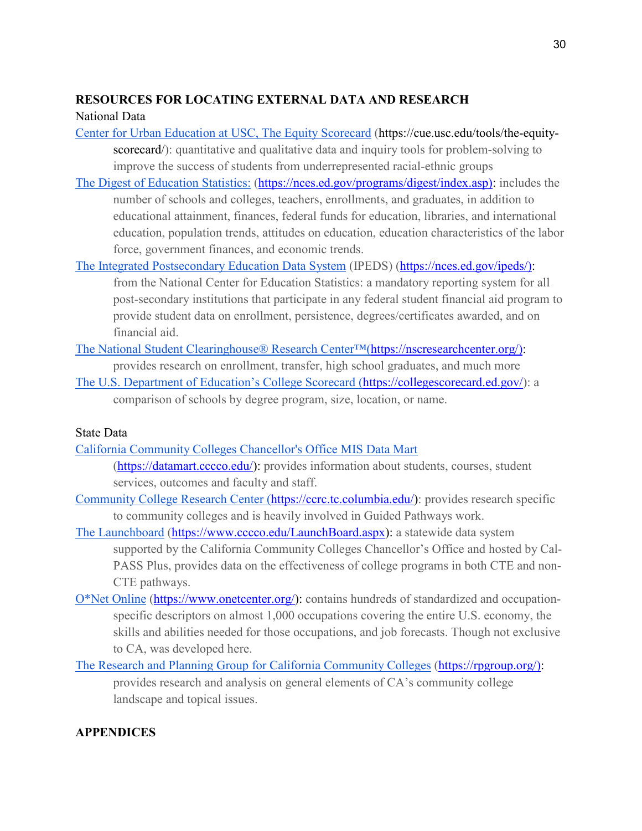# **RESOURCES FOR LOCATING EXTERNAL DATA AND RESEARCH**

# National Data

- [Center for Urban Education at USC, The Equity Scorecard](https://cue.usc.edu/tools/the-equity-scorecard/) (https://cue.usc.edu/tools/the-equityscorecard/): quantitative and qualitative data and inquiry tools for problem-solving to improve the success of students from underrepresented racial-ethnic groups
- The Digest of Education Statistics: [\(https://nces.ed.gov/programs/digest/index.asp\):](https://nces.ed.gov/programs/digest/index.asp)) includes the number of schools and colleges, teachers, enrollments, and graduates, in addition to educational attainment, finances, federal funds for education, libraries, and international education, population trends, attitudes on education, education characteristics of the labor force, government finances, and economic trends.
- [The Integrated Postsecondary Education Data System](https://nces.ed.gov/ipeds/) (IPEDS) [\(https://nces.ed.gov/ipeds/\):](https://nces.ed.gov/ipeds/)) from the National Center for Education Statistics: a mandatory reporting system for all post-secondary institutions that participate in any federal student financial aid program to provide student data on enrollment, persistence, degrees/certificates awarded, and on financial aid.
- [The National Student Clearinghouse® Research Center™\(](https://nscresearchcenter.org/)[https://nscresearchcenter.org/\):](https://nscresearchcenter.org/)) provides research on enrollment, transfer, high school graduates, and much more
- [The U.S. Department of Education's College Scorecard](https://collegescorecard.ed.gov/) [\(https://collegescorecard.ed.gov/\)](https://collegescorecard.ed.gov/): a comparison of schools by degree program, size, location, or name.

# State Data

- [California Community Colleges Chancellor's Office MIS Data Mart](https://datamart.cccco.edu/) [\(https://datamart.cccco.edu/\)](https://datamart.cccco.edu/): provides information about students, courses, student services, outcomes and faculty and staff.
- [Community College Research Center](https://ccrc.tc.columbia.edu/) [\(https://ccrc.tc.columbia.edu/\)](https://ccrc.tc.columbia.edu/): provides research specific to community colleges and is heavily involved in Guided Pathways work.
- [The Launchboard](http://doingwhatmatters.cccco.edu/LaunchBoard.aspx) [\(https://www.cccco.edu/LaunchBoard.aspx\)](https://www.cccco.edu/LaunchBoard.aspx): a statewide data system supported by the California Community Colleges Chancellor's Office and hosted by Cal-PASS Plus, provides data on the effectiveness of college programs in both CTE and non-CTE pathways.
- [O\\*Net Online](https://www.onetcenter.org/) [\(https://www.onetcenter.org/\)](https://www.onetcenter.org/): contains hundreds of standardized and occupationspecific descriptors on almost 1,000 occupations covering the entire U.S. economy, the skills and abilities needed for those occupations, and job forecasts. Though not exclusive to CA, was developed here.
- [The Research and Planning Group for California Community Colleges](https://rpgroup.org/) [\(https://rpgroup.org/\):](https://rpgroup.org/)) provides research and analysis on general elements of CA's community college landscape and topical issues.

# **APPENDICES**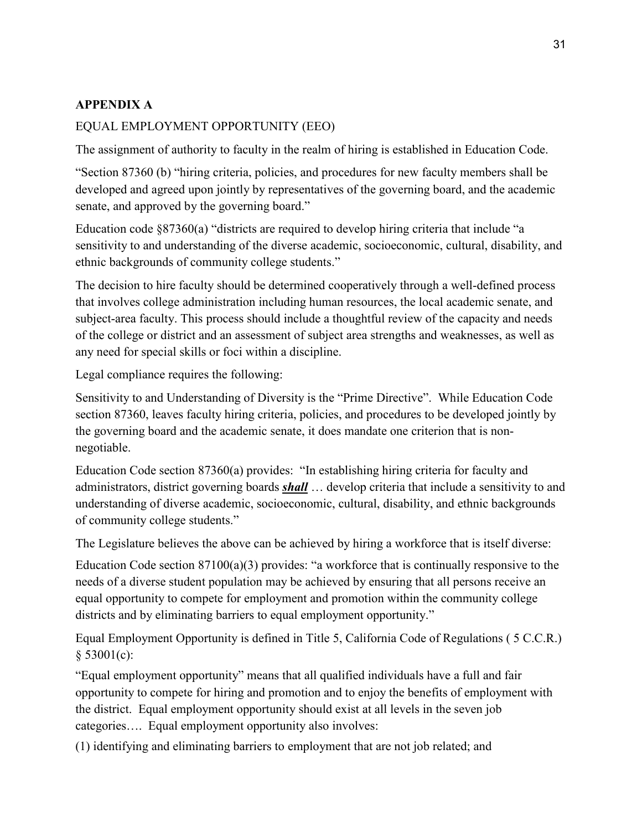# **APPENDIX A**

## EQUAL EMPLOYMENT OPPORTUNITY (EEO)

The assignment of authority to faculty in the realm of hiring is established in Education Code.

"Section 87360 (b) "hiring criteria, policies, and procedures for new faculty members shall be developed and agreed upon jointly by representatives of the governing board, and the academic senate, and approved by the governing board."

Education code §87360(a) "districts are required to develop hiring criteria that include "a sensitivity to and understanding of the diverse academic, socioeconomic, cultural, disability, and ethnic backgrounds of community college students."

The decision to hire faculty should be determined cooperatively through a well-defined process that involves college administration including human resources, the local academic senate, and subject-area faculty. This process should include a thoughtful review of the capacity and needs of the college or district and an assessment of subject area strengths and weaknesses, as well as any need for special skills or foci within a discipline.

Legal compliance requires the following:

Sensitivity to and Understanding of Diversity is the "Prime Directive". While Education Code section 87360, leaves faculty hiring criteria, policies, and procedures to be developed jointly by the governing board and the academic senate, it does mandate one criterion that is nonnegotiable.

Education Code section 87360(a) provides: "In establishing hiring criteria for faculty and administrators, district governing boards *shall* … develop criteria that include a sensitivity to and understanding of diverse academic, socioeconomic, cultural, disability, and ethnic backgrounds of community college students."

The Legislature believes the above can be achieved by hiring a workforce that is itself diverse:

Education Code section 87100(a)(3) provides: "a workforce that is continually responsive to the needs of a diverse student population may be achieved by ensuring that all persons receive an equal opportunity to compete for employment and promotion within the community college districts and by eliminating barriers to equal employment opportunity."

Equal Employment Opportunity is defined in Title 5, California Code of Regulations ( 5 C.C.R.) § 53001(c):

"Equal employment opportunity" means that all qualified individuals have a full and fair opportunity to compete for hiring and promotion and to enjoy the benefits of employment with the district. Equal employment opportunity should exist at all levels in the seven job categories…. Equal employment opportunity also involves:

(1) identifying and eliminating barriers to employment that are not job related; and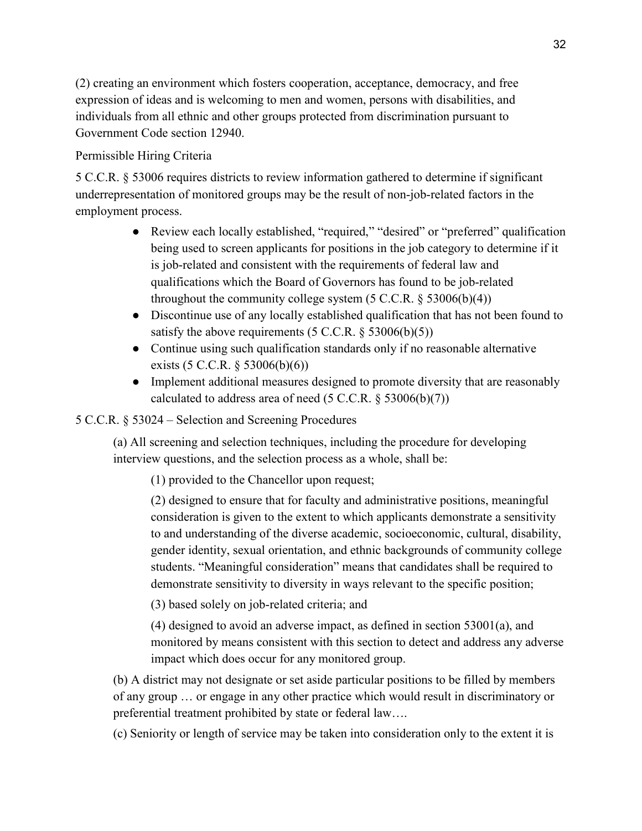(2) creating an environment which fosters cooperation, acceptance, democracy, and free expression of ideas and is welcoming to men and women, persons with disabilities, and individuals from all ethnic and other groups protected from discrimination pursuant to Government Code section 12940.

# Permissible Hiring Criteria

5 C.C.R. § 53006 requires districts to review information gathered to determine if significant underrepresentation of monitored groups may be the result of non-job-related factors in the employment process.

- Review each locally established, "required," "desired" or "preferred" qualification being used to screen applicants for positions in the job category to determine if it is job-related and consistent with the requirements of federal law and qualifications which the Board of Governors has found to be job-related throughout the community college system  $(5 \text{ C.C.R. } § 53006(b)(4))$
- Discontinue use of any locally established qualification that has not been found to satisfy the above requirements  $(5 C.C.R. \S 53006(b)(5))$
- Continue using such qualification standards only if no reasonable alternative exists (5 C.C.R. § 53006(b)(6))
- Implement additional measures designed to promote diversity that are reasonably calculated to address area of need  $(5 \text{ C.C.R.} \$   $53006(b)(7))$

# 5 C.C.R. § 53024 – Selection and Screening Procedures

(a) All screening and selection techniques, including the procedure for developing interview questions, and the selection process as a whole, shall be:

(1) provided to the Chancellor upon request;

(2) designed to ensure that for faculty and administrative positions, meaningful consideration is given to the extent to which applicants demonstrate a sensitivity to and understanding of the diverse academic, socioeconomic, cultural, disability, gender identity, sexual orientation, and ethnic backgrounds of community college students. "Meaningful consideration" means that candidates shall be required to demonstrate sensitivity to diversity in ways relevant to the specific position;

(3) based solely on job-related criteria; and

(4) designed to avoid an adverse impact, as defined in section 53001(a), and monitored by means consistent with this section to detect and address any adverse impact which does occur for any monitored group.

(b) A district may not designate or set aside particular positions to be filled by members of any group … or engage in any other practice which would result in discriminatory or preferential treatment prohibited by state or federal law….

(c) Seniority or length of service may be taken into consideration only to the extent it is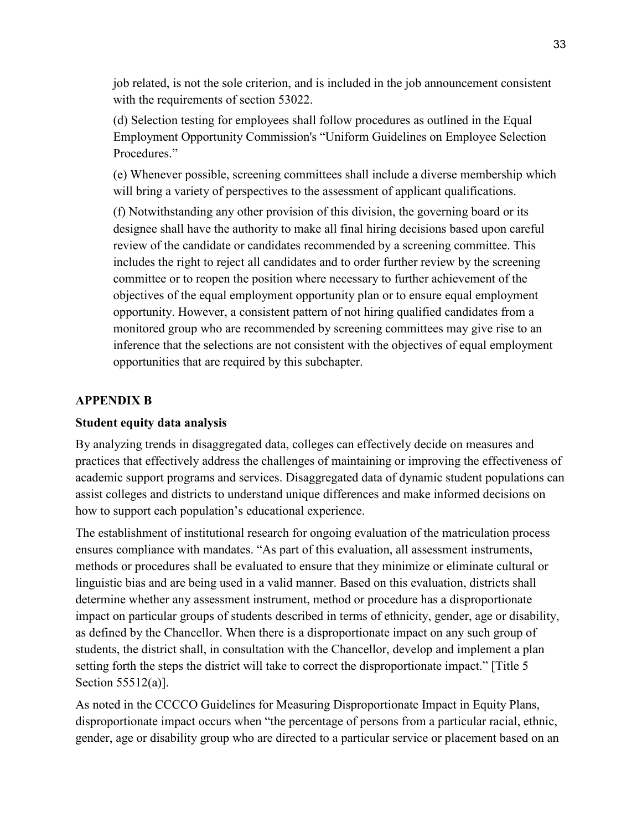job related, is not the sole criterion, and is included in the job announcement consistent with the requirements of section 53022.

(d) Selection testing for employees shall follow procedures as outlined in the Equal Employment Opportunity Commission's "Uniform Guidelines on Employee Selection Procedures<sup>"</sup>

(e) Whenever possible, screening committees shall include a diverse membership which will bring a variety of perspectives to the assessment of applicant qualifications.

(f) Notwithstanding any other provision of this division, the governing board or its designee shall have the authority to make all final hiring decisions based upon careful review of the candidate or candidates recommended by a screening committee. This includes the right to reject all candidates and to order further review by the screening committee or to reopen the position where necessary to further achievement of the objectives of the equal employment opportunity plan or to ensure equal employment opportunity. However, a consistent pattern of not hiring qualified candidates from a monitored group who are recommended by screening committees may give rise to an inference that the selections are not consistent with the objectives of equal employment opportunities that are required by this subchapter.

## **APPENDIX B**

#### **Student equity data analysis**

By analyzing trends in disaggregated data, colleges can effectively decide on measures and practices that effectively address the challenges of maintaining or improving the effectiveness of academic support programs and services. Disaggregated data of dynamic student populations can assist colleges and districts to understand unique differences and make informed decisions on how to support each population's educational experience.

The establishment of institutional research for ongoing evaluation of the matriculation process ensures compliance with mandates. "As part of this evaluation, all assessment instruments, methods or procedures shall be evaluated to ensure that they minimize or eliminate cultural or linguistic bias and are being used in a valid manner. Based on this evaluation, districts shall determine whether any assessment instrument, method or procedure has a disproportionate impact on particular groups of students described in terms of ethnicity, gender, age or disability, as defined by the Chancellor. When there is a disproportionate impact on any such group of students, the district shall, in consultation with the Chancellor, develop and implement a plan setting forth the steps the district will take to correct the disproportionate impact." [Title 5 Section 55512(a)].

As noted in the CCCCO Guidelines for Measuring Disproportionate Impact in Equity Plans, disproportionate impact occurs when "the percentage of persons from a particular racial, ethnic, gender, age or disability group who are directed to a particular service or placement based on an